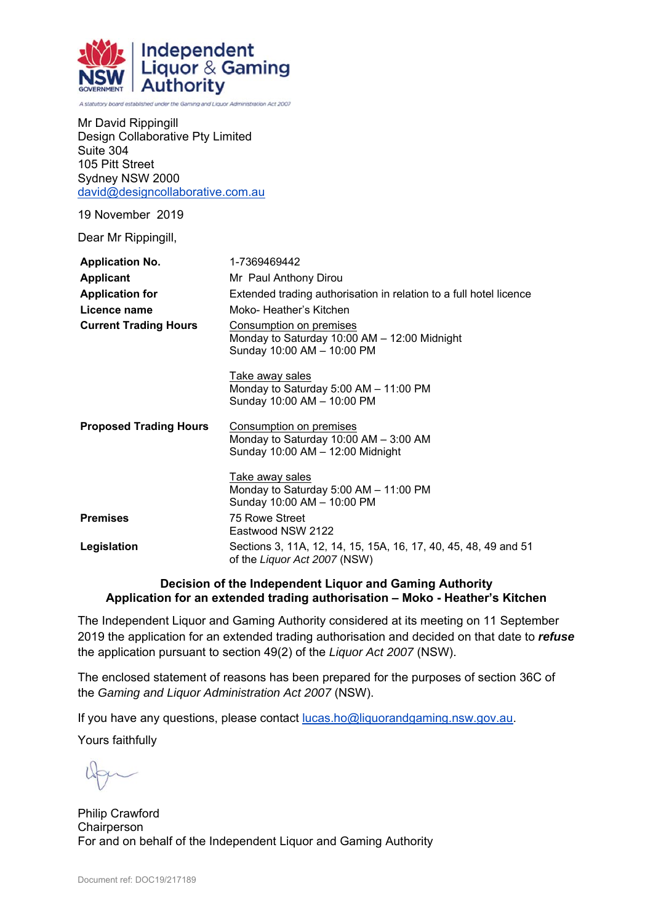

A statutory board established under the Gaming and Liquor Administration Act 2007

| Mr David Rippingill              |
|----------------------------------|
| Design Collaborative Pty Limited |
| Suite 304                        |
| 105 Pitt Street                  |
| Sydney NSW 2000                  |
| david@designcollaborative.com.au |

19 November 2019

Dear Mr Rippingill,

| <b>Application No.</b>        | 1-7369469442                                                                                             |
|-------------------------------|----------------------------------------------------------------------------------------------------------|
| <b>Applicant</b>              | Mr Paul Anthony Dirou                                                                                    |
| <b>Application for</b>        | Extended trading authorisation in relation to a full hotel licence                                       |
| Licence name                  | Moko-Heather's Kitchen                                                                                   |
| <b>Current Trading Hours</b>  | Consumption on premises<br>Monday to Saturday 10:00 AM - 12:00 Midnight<br>Sunday 10:00 AM - 10:00 PM    |
|                               | Take away sales<br>Monday to Saturday 5:00 AM - 11:00 PM<br>Sunday 10:00 AM - 10:00 PM                   |
| <b>Proposed Trading Hours</b> | Consumption on premises<br>Monday to Saturday $10:00$ AM $-$ 3:00 AM<br>Sunday 10:00 AM - 12:00 Midnight |
|                               | Take away sales<br>Monday to Saturday 5:00 AM - 11:00 PM<br>Sunday 10:00 AM - 10:00 PM                   |
| <b>Premises</b>               | 75 Rowe Street<br>Eastwood NSW 2122                                                                      |
| Legislation                   | Sections 3, 11A, 12, 14, 15, 15A, 16, 17, 40, 45, 48, 49 and 51<br>of the Liquor Act 2007 (NSW)          |

#### **Decision of the Independent Liquor and Gaming Authority Application for an extended trading authorisation – Moko - Heather's Kitchen**

The Independent Liquor and Gaming Authority considered at its meeting on 11 September 2019 the application for an extended trading authorisation and decided on that date to *refuse* the application pursuant to section 49(2) of the *Liquor Act 2007* (NSW).

The enclosed statement of reasons has been prepared for the purposes of section 36C of the *Gaming and Liquor Administration Act 2007* (NSW).

If you have any questions, please contact lucas.ho@liquorandgaming.nsw.gov.au.

Yours faithfully

Philip Crawford **Chairperson** For and on behalf of the Independent Liquor and Gaming Authority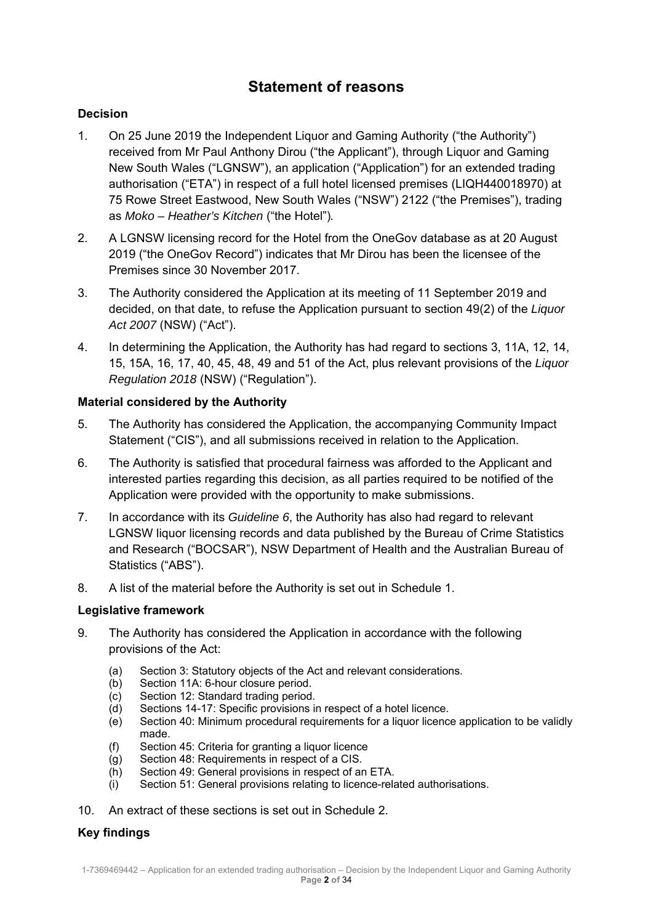# **Statement of reasons**

# **Decision**

- 1. On 25 June 2019 the Independent Liquor and Gaming Authority ("the Authority") received from Mr Paul Anthony Dirou ("the Applicant"), through Liquor and Gaming New South Wales ("LGNSW"), an application ("Application") for an extended trading authorisation ("ETA") in respect of a full hotel licensed premises (LIQH440018970) at 75 Rowe Street Eastwood, New South Wales ("NSW") 2122 ("the Premises"), trading as *Moko – Heather's Kitchen* ("the Hotel")*.*
- 2. A LGNSW licensing record for the Hotel from the OneGov database as at 20 August 2019 ("the OneGov Record") indicates that Mr Dirou has been the licensee of the Premises since 30 November 2017.
- 3. The Authority considered the Application at its meeting of 11 September 2019 and decided, on that date, to refuse the Application pursuant to section 49(2) of the *Liquor Act 2007* (NSW) ("Act").
- 4. In determining the Application, the Authority has had regard to sections 3, 11A, 12, 14, 15, 15A, 16, 17, 40, 45, 48, 49 and 51 of the Act, plus relevant provisions of the *Liquor Regulation 2018* (NSW) ("Regulation").

# **Material considered by the Authority**

- 5. The Authority has considered the Application, the accompanying Community Impact Statement ("CIS"), and all submissions received in relation to the Application.
- 6. The Authority is satisfied that procedural fairness was afforded to the Applicant and interested parties regarding this decision, as all parties required to be notified of the Application were provided with the opportunity to make submissions.
- 7. In accordance with its *Guideline 6*, the Authority has also had regard to relevant LGNSW liquor licensing records and data published by the Bureau of Crime Statistics and Research ("BOCSAR"), NSW Department of Health and the Australian Bureau of Statistics ("ABS").
- 8. A list of the material before the Authority is set out in Schedule 1.

## **Legislative framework**

- 9. The Authority has considered the Application in accordance with the following provisions of the Act:
	- (a) Section 3: Statutory objects of the Act and relevant considerations.
	- (b) Section 11A: 6-hour closure period.
	- (c) Section 12: Standard trading period.
	- (d) Sections 14-17: Specific provisions in respect of a hotel licence.
	- (e) Section 40: Minimum procedural requirements for a liquor licence application to be validly made.
	- (f) Section 45: Criteria for granting a liquor licence
	- (g) Section 48: Requirements in respect of a CIS.
	- (h) Section 49: General provisions in respect of an ETA.
	- (i) Section 51: General provisions relating to licence-related authorisations.
- 10. An extract of these sections is set out in Schedule 2.

## **Key findings**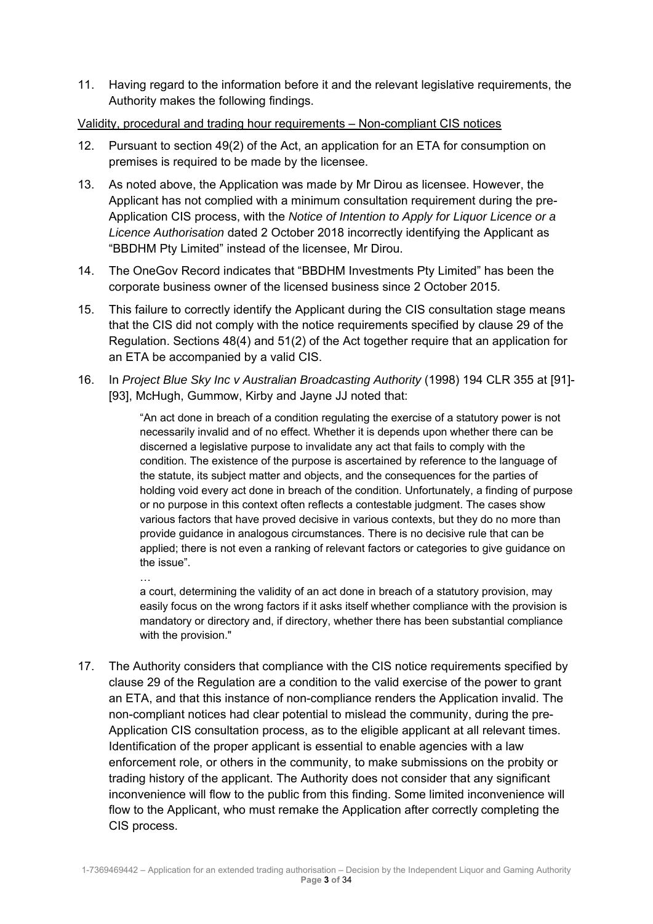11. Having regard to the information before it and the relevant legislative requirements, the Authority makes the following findings.

Validity, procedural and trading hour requirements – Non-compliant CIS notices

- 12. Pursuant to section 49(2) of the Act, an application for an ETA for consumption on premises is required to be made by the licensee.
- 13. As noted above, the Application was made by Mr Dirou as licensee. However, the Applicant has not complied with a minimum consultation requirement during the pre-Application CIS process, with the *Notice of Intention to Apply for Liquor Licence or a Licence Authorisation* dated 2 October 2018 incorrectly identifying the Applicant as "BBDHM Pty Limited" instead of the licensee, Mr Dirou.
- 14. The OneGov Record indicates that "BBDHM Investments Pty Limited" has been the corporate business owner of the licensed business since 2 October 2015.
- 15. This failure to correctly identify the Applicant during the CIS consultation stage means that the CIS did not comply with the notice requirements specified by clause 29 of the Regulation. Sections 48(4) and 51(2) of the Act together require that an application for an ETA be accompanied by a valid CIS.
- 16. In *Project Blue Sky Inc v Australian Broadcasting Authority* (1998) 194 CLR 355 at [91]- [93], McHugh, Gummow, Kirby and Jayne JJ noted that:

"An act done in breach of a condition regulating the exercise of a statutory power is not necessarily invalid and of no effect. Whether it is depends upon whether there can be discerned a legislative purpose to invalidate any act that fails to comply with the condition. The existence of the purpose is ascertained by reference to the language of the statute, its subject matter and objects, and the consequences for the parties of holding void every act done in breach of the condition. Unfortunately, a finding of purpose or no purpose in this context often reflects a contestable judgment. The cases show various factors that have proved decisive in various contexts, but they do no more than provide guidance in analogous circumstances. There is no decisive rule that can be applied; there is not even a ranking of relevant factors or categories to give guidance on the issue".

…

a court, determining the validity of an act done in breach of a statutory provision, may easily focus on the wrong factors if it asks itself whether compliance with the provision is mandatory or directory and, if directory, whether there has been substantial compliance with the provision."

17. The Authority considers that compliance with the CIS notice requirements specified by clause 29 of the Regulation are a condition to the valid exercise of the power to grant an ETA, and that this instance of non-compliance renders the Application invalid. The non-compliant notices had clear potential to mislead the community, during the pre-Application CIS consultation process, as to the eligible applicant at all relevant times. Identification of the proper applicant is essential to enable agencies with a law enforcement role, or others in the community, to make submissions on the probity or trading history of the applicant. The Authority does not consider that any significant inconvenience will flow to the public from this finding. Some limited inconvenience will flow to the Applicant, who must remake the Application after correctly completing the CIS process.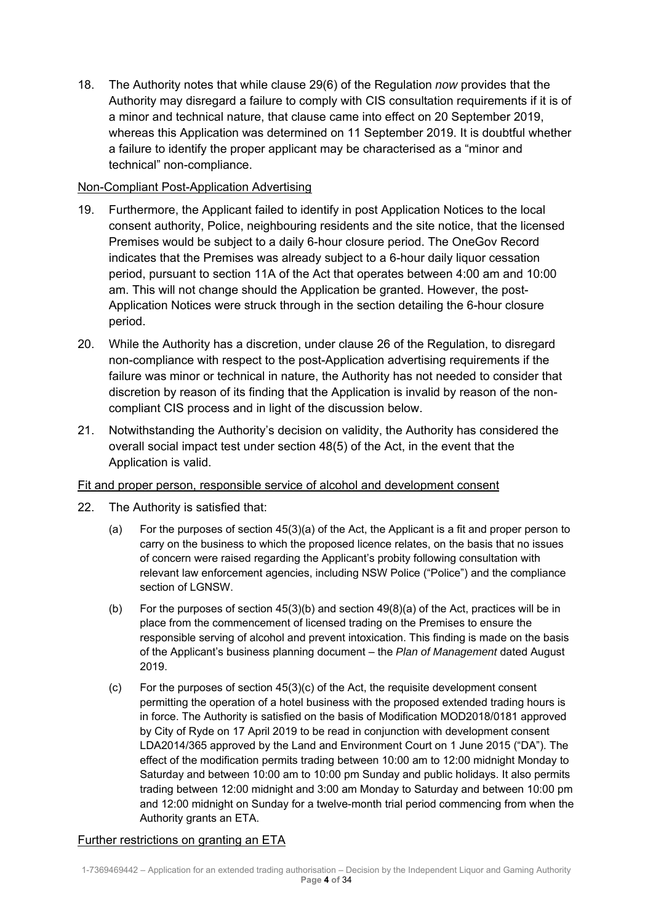18. The Authority notes that while clause 29(6) of the Regulation *now* provides that the Authority may disregard a failure to comply with CIS consultation requirements if it is of a minor and technical nature, that clause came into effect on 20 September 2019, whereas this Application was determined on 11 September 2019. It is doubtful whether a failure to identify the proper applicant may be characterised as a "minor and technical" non-compliance.

# Non-Compliant Post-Application Advertising

- 19. Furthermore, the Applicant failed to identify in post Application Notices to the local consent authority, Police, neighbouring residents and the site notice, that the licensed Premises would be subject to a daily 6-hour closure period. The OneGov Record indicates that the Premises was already subject to a 6-hour daily liquor cessation period, pursuant to section 11A of the Act that operates between 4:00 am and 10:00 am. This will not change should the Application be granted. However, the post-Application Notices were struck through in the section detailing the 6-hour closure period.
- 20. While the Authority has a discretion, under clause 26 of the Regulation, to disregard non-compliance with respect to the post-Application advertising requirements if the failure was minor or technical in nature, the Authority has not needed to consider that discretion by reason of its finding that the Application is invalid by reason of the noncompliant CIS process and in light of the discussion below.
- 21. Notwithstanding the Authority's decision on validity, the Authority has considered the overall social impact test under section 48(5) of the Act, in the event that the Application is valid.

## Fit and proper person, responsible service of alcohol and development consent

- 22. The Authority is satisfied that:
	- (a) For the purposes of section 45(3)(a) of the Act, the Applicant is a fit and proper person to carry on the business to which the proposed licence relates, on the basis that no issues of concern were raised regarding the Applicant's probity following consultation with relevant law enforcement agencies, including NSW Police ("Police") and the compliance section of LGNSW.
	- (b) For the purposes of section 45(3)(b) and section 49(8)(a) of the Act, practices will be in place from the commencement of licensed trading on the Premises to ensure the responsible serving of alcohol and prevent intoxication. This finding is made on the basis of the Applicant's business planning document – the *Plan of Management* dated August 2019.
	- (c) For the purposes of section  $45(3)(c)$  of the Act, the requisite development consent permitting the operation of a hotel business with the proposed extended trading hours is in force. The Authority is satisfied on the basis of Modification MOD2018/0181 approved by City of Ryde on 17 April 2019 to be read in conjunction with development consent LDA2014/365 approved by the Land and Environment Court on 1 June 2015 ("DA"). The effect of the modification permits trading between 10:00 am to 12:00 midnight Monday to Saturday and between 10:00 am to 10:00 pm Sunday and public holidays. It also permits trading between 12:00 midnight and 3:00 am Monday to Saturday and between 10:00 pm and 12:00 midnight on Sunday for a twelve-month trial period commencing from when the Authority grants an ETA.

## Further restrictions on granting an ETA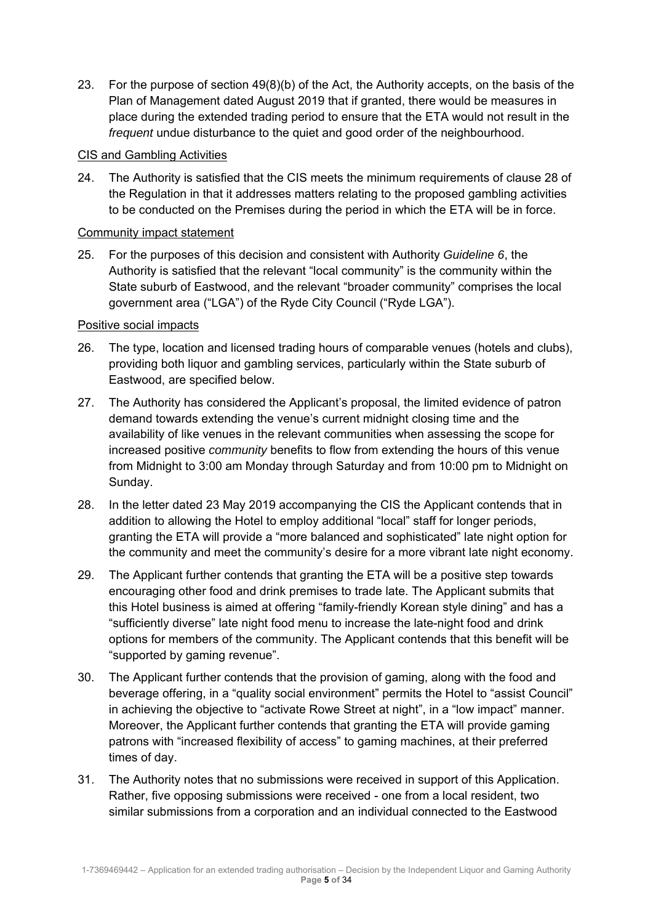23. For the purpose of section 49(8)(b) of the Act, the Authority accepts, on the basis of the Plan of Management dated August 2019 that if granted, there would be measures in place during the extended trading period to ensure that the ETA would not result in the *frequent* undue disturbance to the quiet and good order of the neighbourhood.

## CIS and Gambling Activities

24. The Authority is satisfied that the CIS meets the minimum requirements of clause 28 of the Regulation in that it addresses matters relating to the proposed gambling activities to be conducted on the Premises during the period in which the ETA will be in force.

#### Community impact statement

25. For the purposes of this decision and consistent with Authority *Guideline 6*, the Authority is satisfied that the relevant "local community" is the community within the State suburb of Eastwood, and the relevant "broader community" comprises the local government area ("LGA") of the Ryde City Council ("Ryde LGA").

#### Positive social impacts

- 26. The type, location and licensed trading hours of comparable venues (hotels and clubs), providing both liquor and gambling services, particularly within the State suburb of Eastwood, are specified below.
- 27. The Authority has considered the Applicant's proposal, the limited evidence of patron demand towards extending the venue's current midnight closing time and the availability of like venues in the relevant communities when assessing the scope for increased positive *community* benefits to flow from extending the hours of this venue from Midnight to 3:00 am Monday through Saturday and from 10:00 pm to Midnight on Sunday.
- 28. In the letter dated 23 May 2019 accompanying the CIS the Applicant contends that in addition to allowing the Hotel to employ additional "local" staff for longer periods, granting the ETA will provide a "more balanced and sophisticated" late night option for the community and meet the community's desire for a more vibrant late night economy.
- 29. The Applicant further contends that granting the ETA will be a positive step towards encouraging other food and drink premises to trade late. The Applicant submits that this Hotel business is aimed at offering "family-friendly Korean style dining" and has a "sufficiently diverse" late night food menu to increase the late-night food and drink options for members of the community. The Applicant contends that this benefit will be "supported by gaming revenue".
- 30. The Applicant further contends that the provision of gaming, along with the food and beverage offering, in a "quality social environment" permits the Hotel to "assist Council" in achieving the objective to "activate Rowe Street at night", in a "low impact" manner. Moreover, the Applicant further contends that granting the ETA will provide gaming patrons with "increased flexibility of access" to gaming machines, at their preferred times of day.
- 31. The Authority notes that no submissions were received in support of this Application. Rather, five opposing submissions were received - one from a local resident, two similar submissions from a corporation and an individual connected to the Eastwood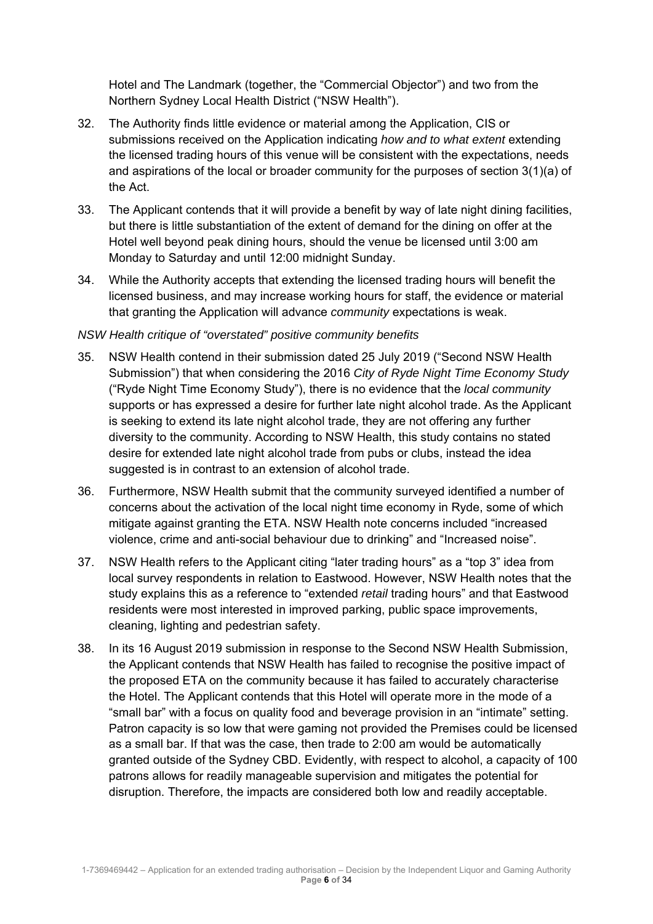Hotel and The Landmark (together, the "Commercial Objector") and two from the Northern Sydney Local Health District ("NSW Health").

- 32. The Authority finds little evidence or material among the Application, CIS or submissions received on the Application indicating *how and to what extent* extending the licensed trading hours of this venue will be consistent with the expectations, needs and aspirations of the local or broader community for the purposes of section 3(1)(a) of the Act.
- 33. The Applicant contends that it will provide a benefit by way of late night dining facilities, but there is little substantiation of the extent of demand for the dining on offer at the Hotel well beyond peak dining hours, should the venue be licensed until 3:00 am Monday to Saturday and until 12:00 midnight Sunday.
- 34. While the Authority accepts that extending the licensed trading hours will benefit the licensed business, and may increase working hours for staff, the evidence or material that granting the Application will advance *community* expectations is weak.

# *NSW Health critique of "overstated" positive community benefits*

- 35. NSW Health contend in their submission dated 25 July 2019 ("Second NSW Health Submission") that when considering the 2016 *City of Ryde Night Time Economy Study*  ("Ryde Night Time Economy Study"), there is no evidence that the *local community* supports or has expressed a desire for further late night alcohol trade. As the Applicant is seeking to extend its late night alcohol trade, they are not offering any further diversity to the community. According to NSW Health, this study contains no stated desire for extended late night alcohol trade from pubs or clubs, instead the idea suggested is in contrast to an extension of alcohol trade.
- 36. Furthermore, NSW Health submit that the community surveyed identified a number of concerns about the activation of the local night time economy in Ryde, some of which mitigate against granting the ETA. NSW Health note concerns included "increased violence, crime and anti-social behaviour due to drinking" and "Increased noise".
- 37. NSW Health refers to the Applicant citing "later trading hours" as a "top 3" idea from local survey respondents in relation to Eastwood. However, NSW Health notes that the study explains this as a reference to "extended *retail* trading hours" and that Eastwood residents were most interested in improved parking, public space improvements, cleaning, lighting and pedestrian safety.
- 38. In its 16 August 2019 submission in response to the Second NSW Health Submission, the Applicant contends that NSW Health has failed to recognise the positive impact of the proposed ETA on the community because it has failed to accurately characterise the Hotel. The Applicant contends that this Hotel will operate more in the mode of a "small bar" with a focus on quality food and beverage provision in an "intimate" setting. Patron capacity is so low that were gaming not provided the Premises could be licensed as a small bar. If that was the case, then trade to 2:00 am would be automatically granted outside of the Sydney CBD. Evidently, with respect to alcohol, a capacity of 100 patrons allows for readily manageable supervision and mitigates the potential for disruption. Therefore, the impacts are considered both low and readily acceptable.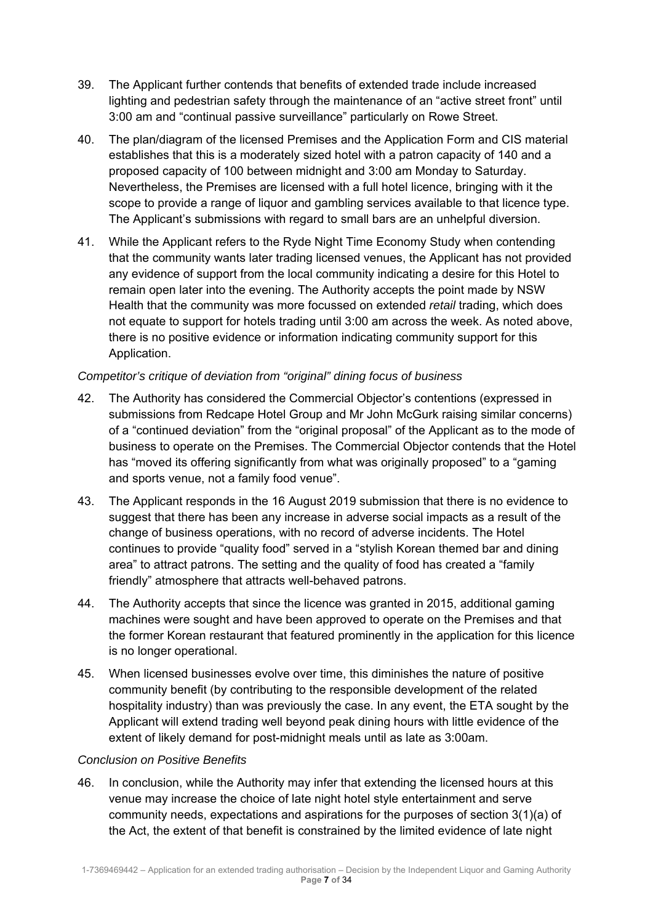- 39. The Applicant further contends that benefits of extended trade include increased lighting and pedestrian safety through the maintenance of an "active street front" until 3:00 am and "continual passive surveillance" particularly on Rowe Street.
- 40. The plan/diagram of the licensed Premises and the Application Form and CIS material establishes that this is a moderately sized hotel with a patron capacity of 140 and a proposed capacity of 100 between midnight and 3:00 am Monday to Saturday. Nevertheless, the Premises are licensed with a full hotel licence, bringing with it the scope to provide a range of liquor and gambling services available to that licence type. The Applicant's submissions with regard to small bars are an unhelpful diversion.
- 41. While the Applicant refers to the Ryde Night Time Economy Study when contending that the community wants later trading licensed venues, the Applicant has not provided any evidence of support from the local community indicating a desire for this Hotel to remain open later into the evening. The Authority accepts the point made by NSW Health that the community was more focussed on extended *retail* trading, which does not equate to support for hotels trading until 3:00 am across the week. As noted above, there is no positive evidence or information indicating community support for this Application.

# *Competitor's critique of deviation from "original" dining focus of business*

- 42. The Authority has considered the Commercial Objector's contentions (expressed in submissions from Redcape Hotel Group and Mr John McGurk raising similar concerns) of a "continued deviation" from the "original proposal" of the Applicant as to the mode of business to operate on the Premises. The Commercial Objector contends that the Hotel has "moved its offering significantly from what was originally proposed" to a "gaming and sports venue, not a family food venue".
- 43. The Applicant responds in the 16 August 2019 submission that there is no evidence to suggest that there has been any increase in adverse social impacts as a result of the change of business operations, with no record of adverse incidents. The Hotel continues to provide "quality food" served in a "stylish Korean themed bar and dining area" to attract patrons. The setting and the quality of food has created a "family friendly" atmosphere that attracts well-behaved patrons.
- 44. The Authority accepts that since the licence was granted in 2015, additional gaming machines were sought and have been approved to operate on the Premises and that the former Korean restaurant that featured prominently in the application for this licence is no longer operational.
- 45. When licensed businesses evolve over time, this diminishes the nature of positive community benefit (by contributing to the responsible development of the related hospitality industry) than was previously the case. In any event, the ETA sought by the Applicant will extend trading well beyond peak dining hours with little evidence of the extent of likely demand for post-midnight meals until as late as 3:00am.

## *Conclusion on Positive Benefits*

46. In conclusion, while the Authority may infer that extending the licensed hours at this venue may increase the choice of late night hotel style entertainment and serve community needs, expectations and aspirations for the purposes of section 3(1)(a) of the Act, the extent of that benefit is constrained by the limited evidence of late night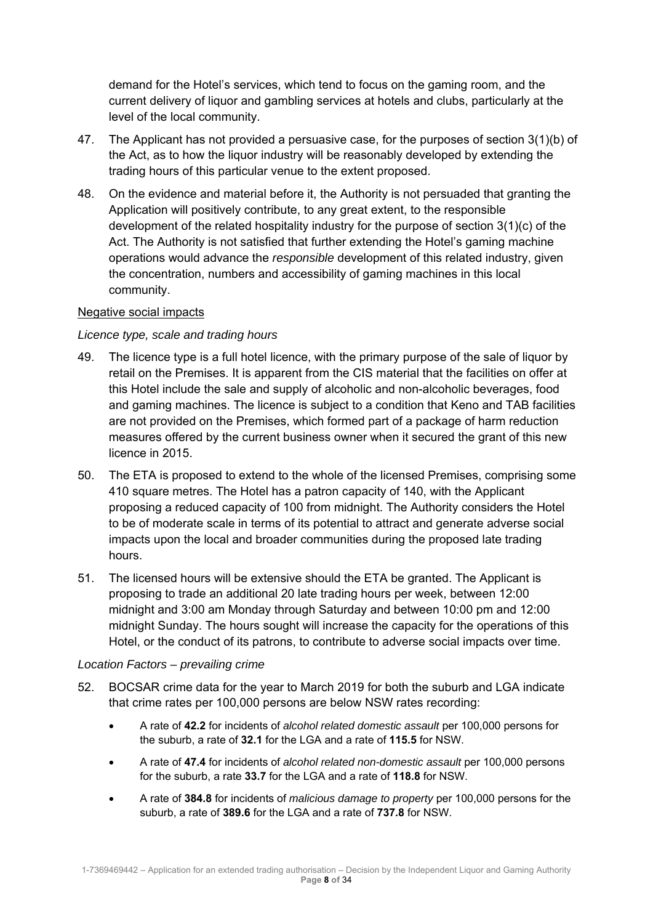demand for the Hotel's services, which tend to focus on the gaming room, and the current delivery of liquor and gambling services at hotels and clubs, particularly at the level of the local community.

- 47. The Applicant has not provided a persuasive case, for the purposes of section 3(1)(b) of the Act, as to how the liquor industry will be reasonably developed by extending the trading hours of this particular venue to the extent proposed.
- 48. On the evidence and material before it, the Authority is not persuaded that granting the Application will positively contribute, to any great extent, to the responsible development of the related hospitality industry for the purpose of section 3(1)(c) of the Act. The Authority is not satisfied that further extending the Hotel's gaming machine operations would advance the *responsible* development of this related industry, given the concentration, numbers and accessibility of gaming machines in this local community.

# Negative social impacts

# *Licence type, scale and trading hours*

- 49. The licence type is a full hotel licence, with the primary purpose of the sale of liquor by retail on the Premises. It is apparent from the CIS material that the facilities on offer at this Hotel include the sale and supply of alcoholic and non-alcoholic beverages, food and gaming machines. The licence is subject to a condition that Keno and TAB facilities are not provided on the Premises, which formed part of a package of harm reduction measures offered by the current business owner when it secured the grant of this new licence in 2015.
- 50. The ETA is proposed to extend to the whole of the licensed Premises, comprising some 410 square metres. The Hotel has a patron capacity of 140, with the Applicant proposing a reduced capacity of 100 from midnight. The Authority considers the Hotel to be of moderate scale in terms of its potential to attract and generate adverse social impacts upon the local and broader communities during the proposed late trading hours.
- 51. The licensed hours will be extensive should the ETA be granted. The Applicant is proposing to trade an additional 20 late trading hours per week, between 12:00 midnight and 3:00 am Monday through Saturday and between 10:00 pm and 12:00 midnight Sunday. The hours sought will increase the capacity for the operations of this Hotel, or the conduct of its patrons, to contribute to adverse social impacts over time.

## *Location Factors – prevailing crime*

- 52. BOCSAR crime data for the year to March 2019 for both the suburb and LGA indicate that crime rates per 100,000 persons are below NSW rates recording:
	- A rate of **42.2** for incidents of *alcohol related domestic assault* per 100,000 persons for the suburb, a rate of **32.1** for the LGA and a rate of **115.5** for NSW.
	- A rate of **47.4** for incidents of *alcohol related non-domestic assault* per 100,000 persons for the suburb, a rate **33.7** for the LGA and a rate of **118.8** for NSW.
	- A rate of **384.8** for incidents of *malicious damage to property* per 100,000 persons for the suburb, a rate of **389.6** for the LGA and a rate of **737.8** for NSW.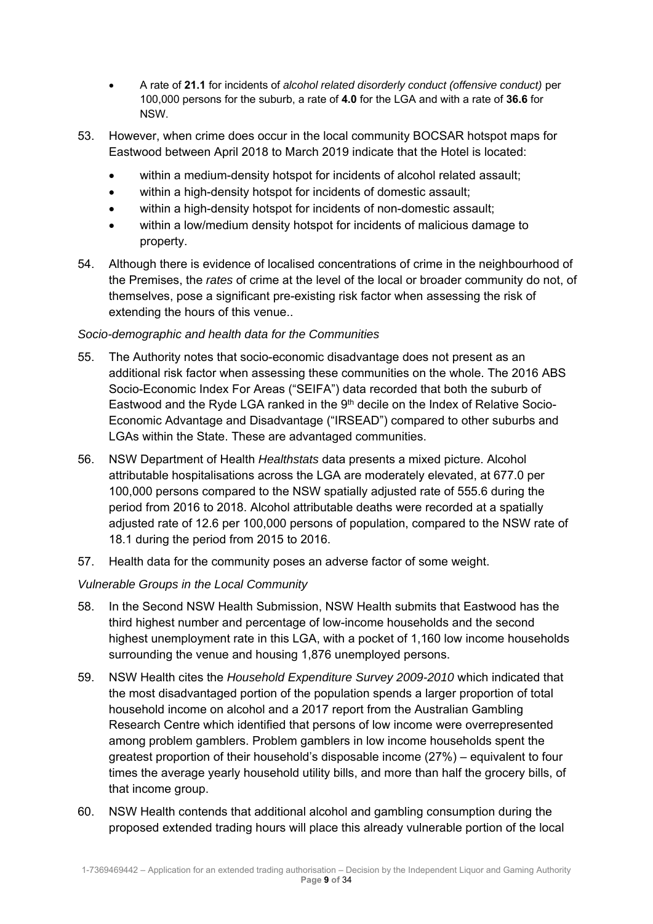- A rate of **21.1** for incidents of *alcohol related disorderly conduct (offensive conduct)* per 100,000 persons for the suburb, a rate of **4.0** for the LGA and with a rate of **36.6** for NSW.
- 53. However, when crime does occur in the local community BOCSAR hotspot maps for Eastwood between April 2018 to March 2019 indicate that the Hotel is located:
	- within a medium-density hotspot for incidents of alcohol related assault:
	- within a high-density hotspot for incidents of domestic assault:
	- within a high-density hotspot for incidents of non-domestic assault;
	- within a low/medium density hotspot for incidents of malicious damage to property.
- 54. Although there is evidence of localised concentrations of crime in the neighbourhood of the Premises, the *rates* of crime at the level of the local or broader community do not, of themselves, pose a significant pre-existing risk factor when assessing the risk of extending the hours of this venue..

# *Socio-demographic and health data for the Communities*

- 55. The Authority notes that socio-economic disadvantage does not present as an additional risk factor when assessing these communities on the whole. The 2016 ABS Socio-Economic Index For Areas ("SEIFA") data recorded that both the suburb of Eastwood and the Ryde LGA ranked in the 9<sup>th</sup> decile on the Index of Relative Socio-Economic Advantage and Disadvantage ("IRSEAD") compared to other suburbs and LGAs within the State. These are advantaged communities.
- 56. NSW Department of Health *Healthstats* data presents a mixed picture. Alcohol attributable hospitalisations across the LGA are moderately elevated, at 677.0 per 100,000 persons compared to the NSW spatially adjusted rate of 555.6 during the period from 2016 to 2018. Alcohol attributable deaths were recorded at a spatially adjusted rate of 12.6 per 100,000 persons of population, compared to the NSW rate of 18.1 during the period from 2015 to 2016.
- 57. Health data for the community poses an adverse factor of some weight.

# *Vulnerable Groups in the Local Community*

- 58. In the Second NSW Health Submission, NSW Health submits that Eastwood has the third highest number and percentage of low-income households and the second highest unemployment rate in this LGA, with a pocket of 1,160 low income households surrounding the venue and housing 1,876 unemployed persons.
- 59. NSW Health cites the *Household Expenditure Survey 2009-2010* which indicated that the most disadvantaged portion of the population spends a larger proportion of total household income on alcohol and a 2017 report from the Australian Gambling Research Centre which identified that persons of low income were overrepresented among problem gamblers. Problem gamblers in low income households spent the greatest proportion of their household's disposable income (27%) – equivalent to four times the average yearly household utility bills, and more than half the grocery bills, of that income group.
- 60. NSW Health contends that additional alcohol and gambling consumption during the proposed extended trading hours will place this already vulnerable portion of the local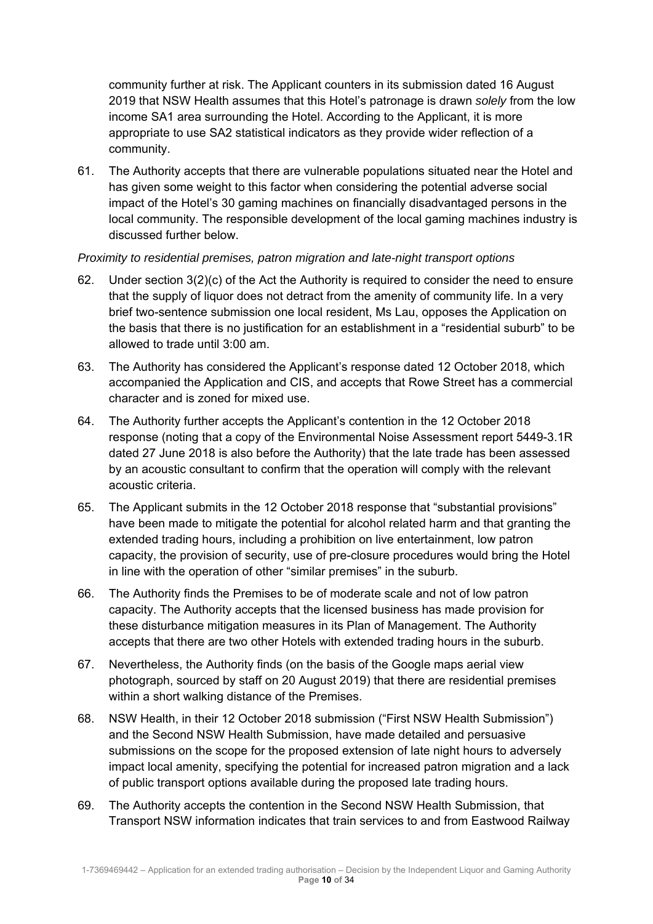community further at risk. The Applicant counters in its submission dated 16 August 2019 that NSW Health assumes that this Hotel's patronage is drawn *solely* from the low income SA1 area surrounding the Hotel. According to the Applicant, it is more appropriate to use SA2 statistical indicators as they provide wider reflection of a community.

61. The Authority accepts that there are vulnerable populations situated near the Hotel and has given some weight to this factor when considering the potential adverse social impact of the Hotel's 30 gaming machines on financially disadvantaged persons in the local community. The responsible development of the local gaming machines industry is discussed further below.

## *Proximity to residential premises, patron migration and late-night transport options*

- 62. Under section  $3(2)(c)$  of the Act the Authority is required to consider the need to ensure that the supply of liquor does not detract from the amenity of community life. In a very brief two-sentence submission one local resident, Ms Lau, opposes the Application on the basis that there is no justification for an establishment in a "residential suburb" to be allowed to trade until 3:00 am.
- 63. The Authority has considered the Applicant's response dated 12 October 2018, which accompanied the Application and CIS, and accepts that Rowe Street has a commercial character and is zoned for mixed use.
- 64. The Authority further accepts the Applicant's contention in the 12 October 2018 response (noting that a copy of the Environmental Noise Assessment report 5449-3.1R dated 27 June 2018 is also before the Authority) that the late trade has been assessed by an acoustic consultant to confirm that the operation will comply with the relevant acoustic criteria.
- 65. The Applicant submits in the 12 October 2018 response that "substantial provisions" have been made to mitigate the potential for alcohol related harm and that granting the extended trading hours, including a prohibition on live entertainment, low patron capacity, the provision of security, use of pre-closure procedures would bring the Hotel in line with the operation of other "similar premises" in the suburb.
- 66. The Authority finds the Premises to be of moderate scale and not of low patron capacity. The Authority accepts that the licensed business has made provision for these disturbance mitigation measures in its Plan of Management. The Authority accepts that there are two other Hotels with extended trading hours in the suburb.
- 67. Nevertheless, the Authority finds (on the basis of the Google maps aerial view photograph, sourced by staff on 20 August 2019) that there are residential premises within a short walking distance of the Premises.
- 68. NSW Health, in their 12 October 2018 submission ("First NSW Health Submission") and the Second NSW Health Submission, have made detailed and persuasive submissions on the scope for the proposed extension of late night hours to adversely impact local amenity, specifying the potential for increased patron migration and a lack of public transport options available during the proposed late trading hours.
- 69. The Authority accepts the contention in the Second NSW Health Submission, that Transport NSW information indicates that train services to and from Eastwood Railway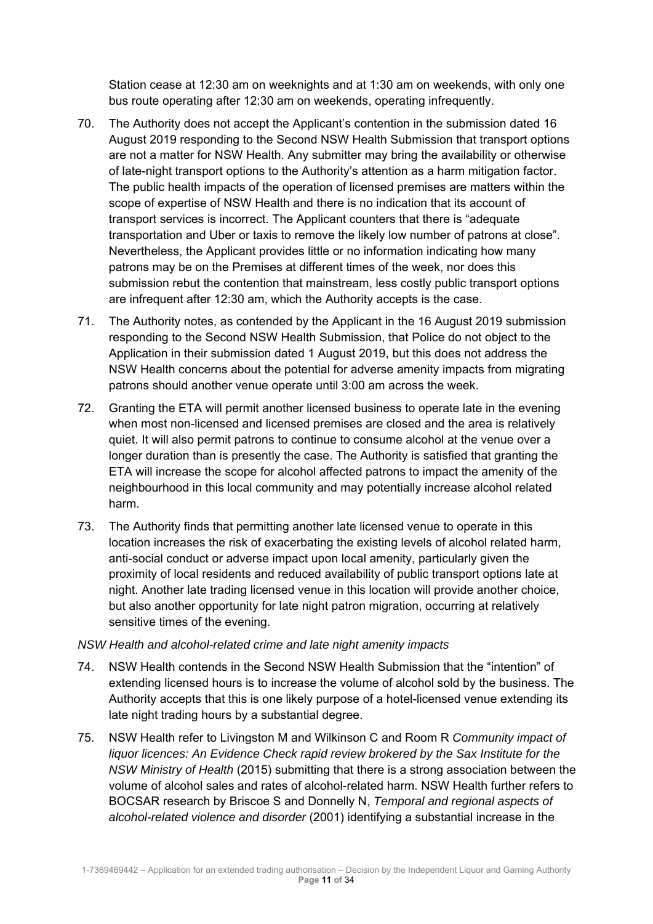Station cease at 12:30 am on weeknights and at 1:30 am on weekends, with only one bus route operating after 12:30 am on weekends, operating infrequently.

- 70. The Authority does not accept the Applicant's contention in the submission dated 16 August 2019 responding to the Second NSW Health Submission that transport options are not a matter for NSW Health. Any submitter may bring the availability or otherwise of late-night transport options to the Authority's attention as a harm mitigation factor. The public health impacts of the operation of licensed premises are matters within the scope of expertise of NSW Health and there is no indication that its account of transport services is incorrect. The Applicant counters that there is "adequate transportation and Uber or taxis to remove the likely low number of patrons at close". Nevertheless, the Applicant provides little or no information indicating how many patrons may be on the Premises at different times of the week, nor does this submission rebut the contention that mainstream, less costly public transport options are infrequent after 12:30 am, which the Authority accepts is the case.
- 71. The Authority notes, as contended by the Applicant in the 16 August 2019 submission responding to the Second NSW Health Submission, that Police do not object to the Application in their submission dated 1 August 2019, but this does not address the NSW Health concerns about the potential for adverse amenity impacts from migrating patrons should another venue operate until 3:00 am across the week.
- 72. Granting the ETA will permit another licensed business to operate late in the evening when most non-licensed and licensed premises are closed and the area is relatively quiet. It will also permit patrons to continue to consume alcohol at the venue over a longer duration than is presently the case. The Authority is satisfied that granting the ETA will increase the scope for alcohol affected patrons to impact the amenity of the neighbourhood in this local community and may potentially increase alcohol related harm.
- 73. The Authority finds that permitting another late licensed venue to operate in this location increases the risk of exacerbating the existing levels of alcohol related harm, anti-social conduct or adverse impact upon local amenity, particularly given the proximity of local residents and reduced availability of public transport options late at night. Another late trading licensed venue in this location will provide another choice, but also another opportunity for late night patron migration, occurring at relatively sensitive times of the evening.

## *NSW Health and alcohol-related crime and late night amenity impacts*

- 74. NSW Health contends in the Second NSW Health Submission that the "intention" of extending licensed hours is to increase the volume of alcohol sold by the business. The Authority accepts that this is one likely purpose of a hotel-licensed venue extending its late night trading hours by a substantial degree.
- 75. NSW Health refer to Livingston M and Wilkinson C and Room R *Community impact of liquor licences: An Evidence Check rapid review brokered by the Sax Institute for the NSW Ministry of Health* (2015) submitting that there is a strong association between the volume of alcohol sales and rates of alcohol-related harm. NSW Health further refers to BOCSAR research by Briscoe S and Donnelly N, *Temporal and regional aspects of alcohol-related violence and disorder* (2001) identifying a substantial increase in the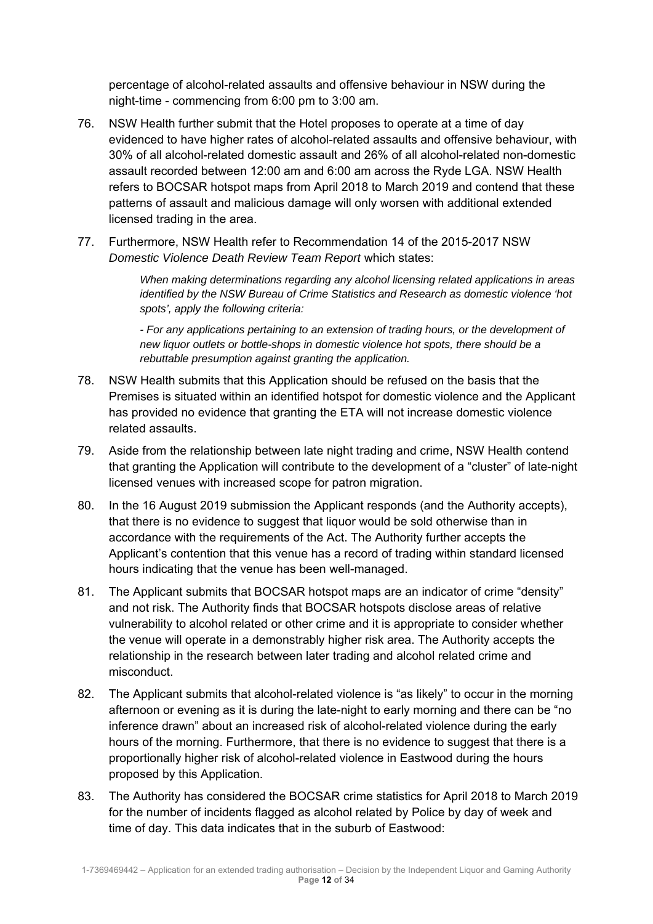percentage of alcohol-related assaults and offensive behaviour in NSW during the night-time - commencing from 6:00 pm to 3:00 am.

- 76. NSW Health further submit that the Hotel proposes to operate at a time of day evidenced to have higher rates of alcohol-related assaults and offensive behaviour, with 30% of all alcohol-related domestic assault and 26% of all alcohol-related non-domestic assault recorded between 12:00 am and 6:00 am across the Ryde LGA. NSW Health refers to BOCSAR hotspot maps from April 2018 to March 2019 and contend that these patterns of assault and malicious damage will only worsen with additional extended licensed trading in the area.
- 77. Furthermore, NSW Health refer to Recommendation 14 of the 2015-2017 NSW *Domestic Violence Death Review Team Report* which states:

*When making determinations regarding any alcohol licensing related applications in areas identified by the NSW Bureau of Crime Statistics and Research as domestic violence 'hot spots', apply the following criteria:* 

*- For any applications pertaining to an extension of trading hours, or the development of new liquor outlets or bottle-shops in domestic violence hot spots, there should be a rebuttable presumption against granting the application.* 

- 78. NSW Health submits that this Application should be refused on the basis that the Premises is situated within an identified hotspot for domestic violence and the Applicant has provided no evidence that granting the ETA will not increase domestic violence related assaults.
- 79. Aside from the relationship between late night trading and crime, NSW Health contend that granting the Application will contribute to the development of a "cluster" of late-night licensed venues with increased scope for patron migration.
- 80. In the 16 August 2019 submission the Applicant responds (and the Authority accepts), that there is no evidence to suggest that liquor would be sold otherwise than in accordance with the requirements of the Act. The Authority further accepts the Applicant's contention that this venue has a record of trading within standard licensed hours indicating that the venue has been well-managed.
- 81. The Applicant submits that BOCSAR hotspot maps are an indicator of crime "density" and not risk. The Authority finds that BOCSAR hotspots disclose areas of relative vulnerability to alcohol related or other crime and it is appropriate to consider whether the venue will operate in a demonstrably higher risk area. The Authority accepts the relationship in the research between later trading and alcohol related crime and misconduct.
- 82. The Applicant submits that alcohol-related violence is "as likely" to occur in the morning afternoon or evening as it is during the late-night to early morning and there can be "no inference drawn" about an increased risk of alcohol-related violence during the early hours of the morning. Furthermore, that there is no evidence to suggest that there is a proportionally higher risk of alcohol-related violence in Eastwood during the hours proposed by this Application.
- 83. The Authority has considered the BOCSAR crime statistics for April 2018 to March 2019 for the number of incidents flagged as alcohol related by Police by day of week and time of day. This data indicates that in the suburb of Eastwood: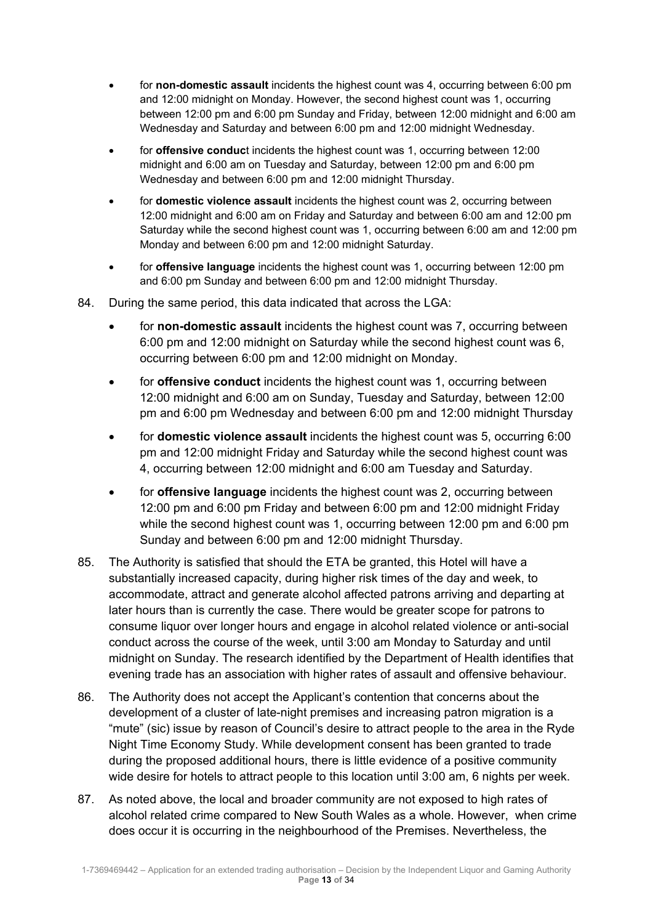- for **non-domestic assault** incidents the highest count was 4, occurring between 6:00 pm and 12:00 midnight on Monday. However, the second highest count was 1, occurring between 12:00 pm and 6:00 pm Sunday and Friday, between 12:00 midnight and 6:00 am Wednesday and Saturday and between 6:00 pm and 12:00 midnight Wednesday.
- for **offensive conduc**t incidents the highest count was 1, occurring between 12:00 midnight and 6:00 am on Tuesday and Saturday, between 12:00 pm and 6:00 pm Wednesday and between 6:00 pm and 12:00 midnight Thursday.
- for **domestic violence assault** incidents the highest count was 2, occurring between 12:00 midnight and 6:00 am on Friday and Saturday and between 6:00 am and 12:00 pm Saturday while the second highest count was 1, occurring between 6:00 am and 12:00 pm Monday and between 6:00 pm and 12:00 midnight Saturday.
- for **offensive language** incidents the highest count was 1, occurring between 12:00 pm and 6:00 pm Sunday and between 6:00 pm and 12:00 midnight Thursday.
- 84. During the same period, this data indicated that across the LGA:
	- for **non-domestic assault** incidents the highest count was 7, occurring between 6:00 pm and 12:00 midnight on Saturday while the second highest count was 6, occurring between 6:00 pm and 12:00 midnight on Monday.
	- for **offensive conduct** incidents the highest count was 1, occurring between 12:00 midnight and 6:00 am on Sunday, Tuesday and Saturday, between 12:00 pm and 6:00 pm Wednesday and between 6:00 pm and 12:00 midnight Thursday
	- for **domestic violence assault** incidents the highest count was 5, occurring 6:00 pm and 12:00 midnight Friday and Saturday while the second highest count was 4, occurring between 12:00 midnight and 6:00 am Tuesday and Saturday.
	- for **offensive language** incidents the highest count was 2, occurring between 12:00 pm and 6:00 pm Friday and between 6:00 pm and 12:00 midnight Friday while the second highest count was 1, occurring between 12:00 pm and 6:00 pm Sunday and between 6:00 pm and 12:00 midnight Thursday.
- 85. The Authority is satisfied that should the ETA be granted, this Hotel will have a substantially increased capacity, during higher risk times of the day and week, to accommodate, attract and generate alcohol affected patrons arriving and departing at later hours than is currently the case. There would be greater scope for patrons to consume liquor over longer hours and engage in alcohol related violence or anti-social conduct across the course of the week, until 3:00 am Monday to Saturday and until midnight on Sunday. The research identified by the Department of Health identifies that evening trade has an association with higher rates of assault and offensive behaviour.
- 86. The Authority does not accept the Applicant's contention that concerns about the development of a cluster of late-night premises and increasing patron migration is a "mute" (sic) issue by reason of Council's desire to attract people to the area in the Ryde Night Time Economy Study. While development consent has been granted to trade during the proposed additional hours, there is little evidence of a positive community wide desire for hotels to attract people to this location until 3:00 am, 6 nights per week.
- 87. As noted above, the local and broader community are not exposed to high rates of alcohol related crime compared to New South Wales as a whole. However, when crime does occur it is occurring in the neighbourhood of the Premises. Nevertheless, the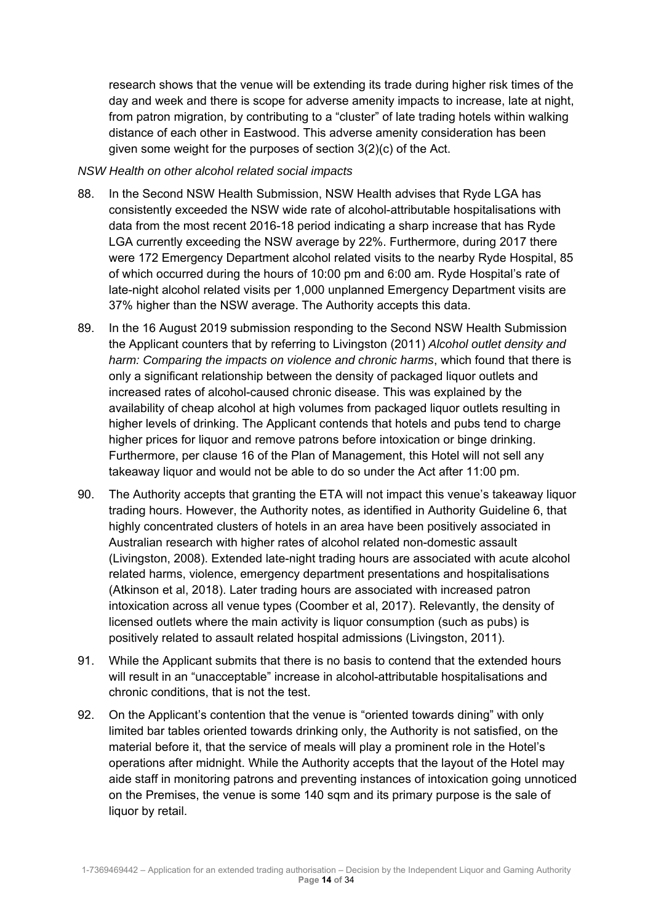research shows that the venue will be extending its trade during higher risk times of the day and week and there is scope for adverse amenity impacts to increase, late at night, from patron migration, by contributing to a "cluster" of late trading hotels within walking distance of each other in Eastwood. This adverse amenity consideration has been given some weight for the purposes of section 3(2)(c) of the Act.

# *NSW Health on other alcohol related social impacts*

- 88. In the Second NSW Health Submission, NSW Health advises that Ryde LGA has consistently exceeded the NSW wide rate of alcohol-attributable hospitalisations with data from the most recent 2016-18 period indicating a sharp increase that has Ryde LGA currently exceeding the NSW average by 22%. Furthermore, during 2017 there were 172 Emergency Department alcohol related visits to the nearby Ryde Hospital, 85 of which occurred during the hours of 10:00 pm and 6:00 am. Ryde Hospital's rate of late-night alcohol related visits per 1,000 unplanned Emergency Department visits are 37% higher than the NSW average. The Authority accepts this data.
- 89. In the 16 August 2019 submission responding to the Second NSW Health Submission the Applicant counters that by referring to Livingston (2011) *Alcohol outlet density and harm: Comparing the impacts on violence and chronic harms*, which found that there is only a significant relationship between the density of packaged liquor outlets and increased rates of alcohol-caused chronic disease. This was explained by the availability of cheap alcohol at high volumes from packaged liquor outlets resulting in higher levels of drinking. The Applicant contends that hotels and pubs tend to charge higher prices for liquor and remove patrons before intoxication or binge drinking. Furthermore, per clause 16 of the Plan of Management, this Hotel will not sell any takeaway liquor and would not be able to do so under the Act after 11:00 pm.
- 90. The Authority accepts that granting the ETA will not impact this venue's takeaway liquor trading hours. However, the Authority notes, as identified in Authority Guideline 6, that highly concentrated clusters of hotels in an area have been positively associated in Australian research with higher rates of alcohol related non-domestic assault (Livingston, 2008). Extended late-night trading hours are associated with acute alcohol related harms, violence, emergency department presentations and hospitalisations (Atkinson et al, 2018). Later trading hours are associated with increased patron intoxication across all venue types (Coomber et al, 2017). Relevantly, the density of licensed outlets where the main activity is liquor consumption (such as pubs) is positively related to assault related hospital admissions (Livingston, 2011).
- 91. While the Applicant submits that there is no basis to contend that the extended hours will result in an "unacceptable" increase in alcohol-attributable hospitalisations and chronic conditions, that is not the test.
- 92. On the Applicant's contention that the venue is "oriented towards dining" with only limited bar tables oriented towards drinking only, the Authority is not satisfied, on the material before it, that the service of meals will play a prominent role in the Hotel's operations after midnight. While the Authority accepts that the layout of the Hotel may aide staff in monitoring patrons and preventing instances of intoxication going unnoticed on the Premises, the venue is some 140 sqm and its primary purpose is the sale of liquor by retail.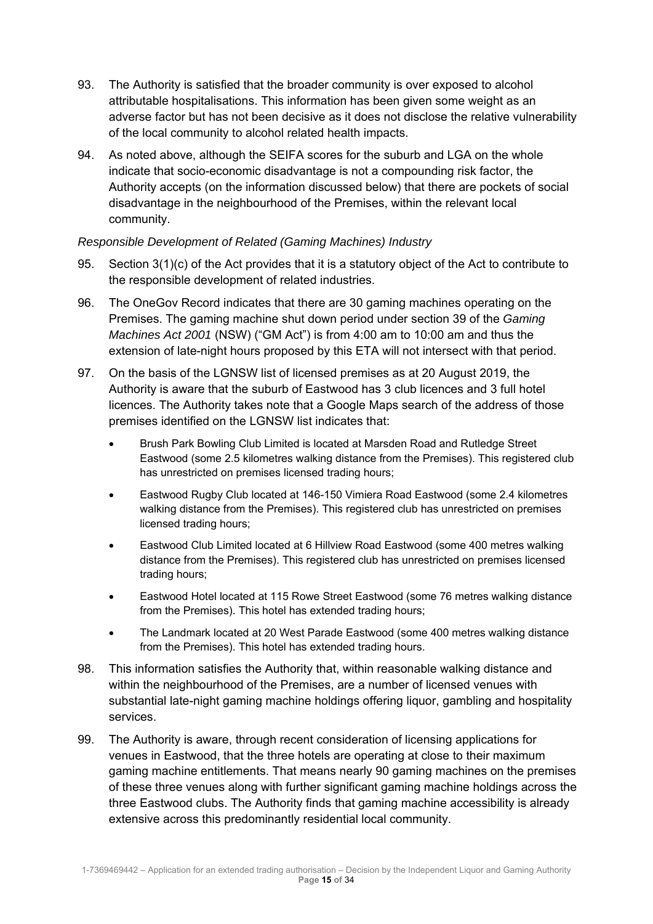- 93. The Authority is satisfied that the broader community is over exposed to alcohol attributable hospitalisations. This information has been given some weight as an adverse factor but has not been decisive as it does not disclose the relative vulnerability of the local community to alcohol related health impacts.
- 94. As noted above, although the SEIFA scores for the suburb and LGA on the whole indicate that socio-economic disadvantage is not a compounding risk factor, the Authority accepts (on the information discussed below) that there are pockets of social disadvantage in the neighbourhood of the Premises, within the relevant local community.

# *Responsible Development of Related (Gaming Machines) Industry*

- 95. Section 3(1)(c) of the Act provides that it is a statutory object of the Act to contribute to the responsible development of related industries.
- 96. The OneGov Record indicates that there are 30 gaming machines operating on the Premises. The gaming machine shut down period under section 39 of the *Gaming Machines Act 2001* (NSW) ("GM Act") is from 4:00 am to 10:00 am and thus the extension of late-night hours proposed by this ETA will not intersect with that period.
- 97. On the basis of the LGNSW list of licensed premises as at 20 August 2019, the Authority is aware that the suburb of Eastwood has 3 club licences and 3 full hotel licences. The Authority takes note that a Google Maps search of the address of those premises identified on the LGNSW list indicates that:
	- Brush Park Bowling Club Limited is located at Marsden Road and Rutledge Street Eastwood (some 2.5 kilometres walking distance from the Premises). This registered club has unrestricted on premises licensed trading hours;
	- Eastwood Rugby Club located at 146-150 Vimiera Road Eastwood (some 2.4 kilometres walking distance from the Premises). This registered club has unrestricted on premises licensed trading hours;
	- Eastwood Club Limited located at 6 Hillview Road Eastwood (some 400 metres walking distance from the Premises). This registered club has unrestricted on premises licensed trading hours;
	- Eastwood Hotel located at 115 Rowe Street Eastwood (some 76 metres walking distance from the Premises). This hotel has extended trading hours;
	- The Landmark located at 20 West Parade Eastwood (some 400 metres walking distance from the Premises). This hotel has extended trading hours.
- 98. This information satisfies the Authority that, within reasonable walking distance and within the neighbourhood of the Premises, are a number of licensed venues with substantial late-night gaming machine holdings offering liquor, gambling and hospitality services.
- 99. The Authority is aware, through recent consideration of licensing applications for venues in Eastwood, that the three hotels are operating at close to their maximum gaming machine entitlements. That means nearly 90 gaming machines on the premises of these three venues along with further significant gaming machine holdings across the three Eastwood clubs. The Authority finds that gaming machine accessibility is already extensive across this predominantly residential local community.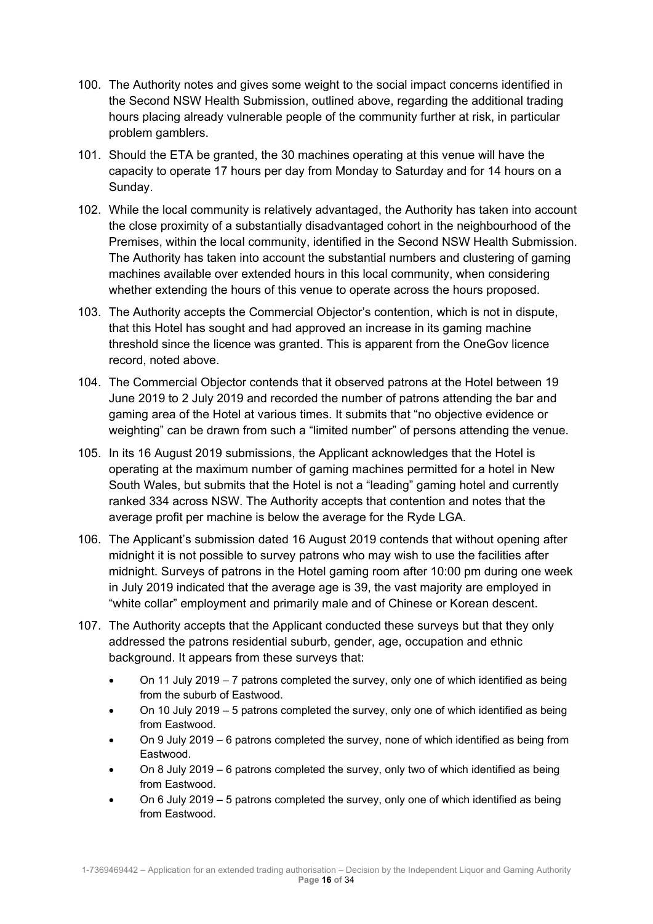- 100. The Authority notes and gives some weight to the social impact concerns identified in the Second NSW Health Submission, outlined above, regarding the additional trading hours placing already vulnerable people of the community further at risk, in particular problem gamblers.
- 101. Should the ETA be granted, the 30 machines operating at this venue will have the capacity to operate 17 hours per day from Monday to Saturday and for 14 hours on a Sunday.
- 102. While the local community is relatively advantaged, the Authority has taken into account the close proximity of a substantially disadvantaged cohort in the neighbourhood of the Premises, within the local community, identified in the Second NSW Health Submission. The Authority has taken into account the substantial numbers and clustering of gaming machines available over extended hours in this local community, when considering whether extending the hours of this venue to operate across the hours proposed.
- 103. The Authority accepts the Commercial Objector's contention, which is not in dispute, that this Hotel has sought and had approved an increase in its gaming machine threshold since the licence was granted. This is apparent from the OneGov licence record, noted above.
- 104. The Commercial Objector contends that it observed patrons at the Hotel between 19 June 2019 to 2 July 2019 and recorded the number of patrons attending the bar and gaming area of the Hotel at various times. It submits that "no objective evidence or weighting" can be drawn from such a "limited number" of persons attending the venue.
- 105. In its 16 August 2019 submissions, the Applicant acknowledges that the Hotel is operating at the maximum number of gaming machines permitted for a hotel in New South Wales, but submits that the Hotel is not a "leading" gaming hotel and currently ranked 334 across NSW. The Authority accepts that contention and notes that the average profit per machine is below the average for the Ryde LGA.
- 106. The Applicant's submission dated 16 August 2019 contends that without opening after midnight it is not possible to survey patrons who may wish to use the facilities after midnight. Surveys of patrons in the Hotel gaming room after 10:00 pm during one week in July 2019 indicated that the average age is 39, the vast majority are employed in "white collar" employment and primarily male and of Chinese or Korean descent.
- 107. The Authority accepts that the Applicant conducted these surveys but that they only addressed the patrons residential suburb, gender, age, occupation and ethnic background. It appears from these surveys that:
	- On 11 July 2019 7 patrons completed the survey, only one of which identified as being from the suburb of Eastwood.
	- On 10 July 2019 5 patrons completed the survey, only one of which identified as being from Eastwood.
	- On 9 July 2019 6 patrons completed the survey, none of which identified as being from Eastwood.
	- On 8 July 2019 6 patrons completed the survey, only two of which identified as being from Eastwood.
	- On 6 July 2019 5 patrons completed the survey, only one of which identified as being from Eastwood.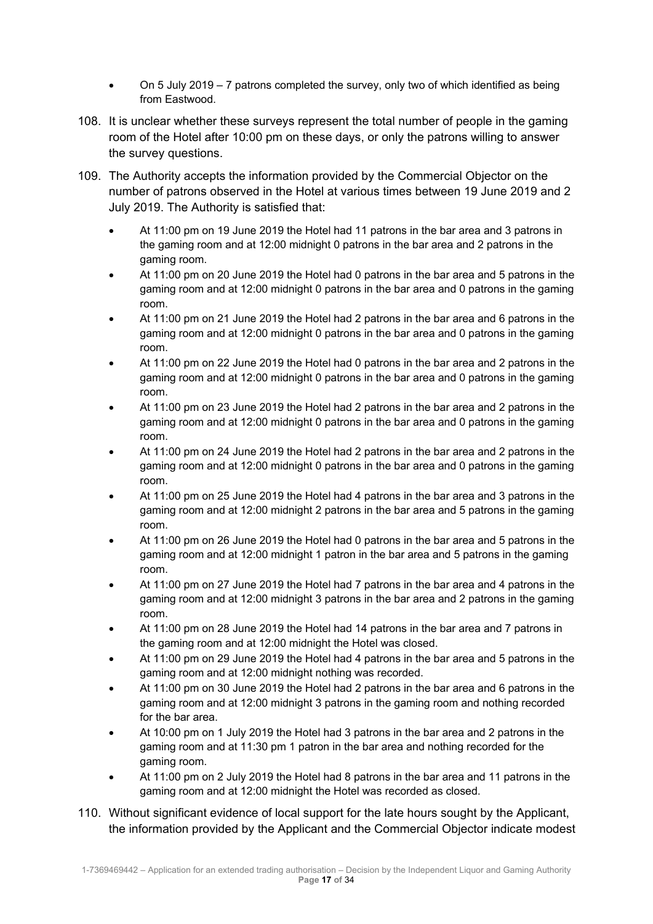- On 5 July 2019 7 patrons completed the survey, only two of which identified as being from Eastwood.
- 108. It is unclear whether these surveys represent the total number of people in the gaming room of the Hotel after 10:00 pm on these days, or only the patrons willing to answer the survey questions.
- 109. The Authority accepts the information provided by the Commercial Objector on the number of patrons observed in the Hotel at various times between 19 June 2019 and 2 July 2019. The Authority is satisfied that:
	- At 11:00 pm on 19 June 2019 the Hotel had 11 patrons in the bar area and 3 patrons in the gaming room and at 12:00 midnight 0 patrons in the bar area and 2 patrons in the gaming room.
	- At 11:00 pm on 20 June 2019 the Hotel had 0 patrons in the bar area and 5 patrons in the gaming room and at 12:00 midnight 0 patrons in the bar area and 0 patrons in the gaming room.
	- At 11:00 pm on 21 June 2019 the Hotel had 2 patrons in the bar area and 6 patrons in the gaming room and at 12:00 midnight 0 patrons in the bar area and 0 patrons in the gaming room.
	- At 11:00 pm on 22 June 2019 the Hotel had 0 patrons in the bar area and 2 patrons in the gaming room and at 12:00 midnight 0 patrons in the bar area and 0 patrons in the gaming room.
	- At 11:00 pm on 23 June 2019 the Hotel had 2 patrons in the bar area and 2 patrons in the gaming room and at 12:00 midnight 0 patrons in the bar area and 0 patrons in the gaming room.
	- At 11:00 pm on 24 June 2019 the Hotel had 2 patrons in the bar area and 2 patrons in the gaming room and at 12:00 midnight 0 patrons in the bar area and 0 patrons in the gaming room.
	- At 11:00 pm on 25 June 2019 the Hotel had 4 patrons in the bar area and 3 patrons in the gaming room and at 12:00 midnight 2 patrons in the bar area and 5 patrons in the gaming room.
	- At 11:00 pm on 26 June 2019 the Hotel had 0 patrons in the bar area and 5 patrons in the gaming room and at 12:00 midnight 1 patron in the bar area and 5 patrons in the gaming room.
	- At 11:00 pm on 27 June 2019 the Hotel had 7 patrons in the bar area and 4 patrons in the gaming room and at 12:00 midnight 3 patrons in the bar area and 2 patrons in the gaming room.
	- At 11:00 pm on 28 June 2019 the Hotel had 14 patrons in the bar area and 7 patrons in the gaming room and at 12:00 midnight the Hotel was closed.
	- At 11:00 pm on 29 June 2019 the Hotel had 4 patrons in the bar area and 5 patrons in the gaming room and at 12:00 midnight nothing was recorded.
	- At 11:00 pm on 30 June 2019 the Hotel had 2 patrons in the bar area and 6 patrons in the gaming room and at 12:00 midnight 3 patrons in the gaming room and nothing recorded for the bar area.
	- At 10:00 pm on 1 July 2019 the Hotel had 3 patrons in the bar area and 2 patrons in the gaming room and at 11:30 pm 1 patron in the bar area and nothing recorded for the gaming room.
	- At 11:00 pm on 2 July 2019 the Hotel had 8 patrons in the bar area and 11 patrons in the gaming room and at 12:00 midnight the Hotel was recorded as closed.
- 110. Without significant evidence of local support for the late hours sought by the Applicant, the information provided by the Applicant and the Commercial Objector indicate modest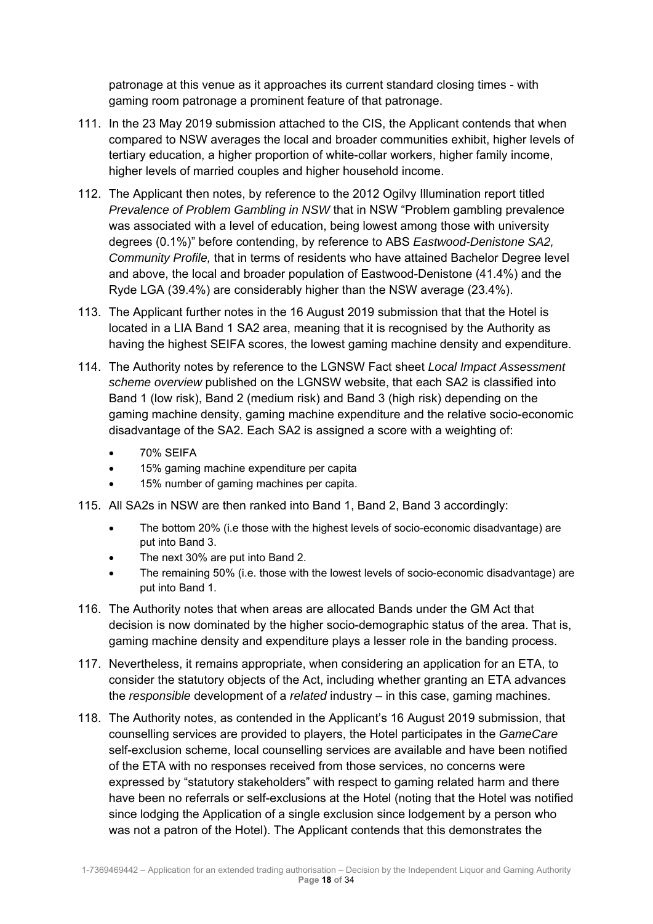patronage at this venue as it approaches its current standard closing times - with gaming room patronage a prominent feature of that patronage.

- 111. In the 23 May 2019 submission attached to the CIS, the Applicant contends that when compared to NSW averages the local and broader communities exhibit, higher levels of tertiary education, a higher proportion of white-collar workers, higher family income, higher levels of married couples and higher household income.
- 112. The Applicant then notes, by reference to the 2012 Ogilvy Illumination report titled *Prevalence of Problem Gambling in NSW* that in NSW "Problem gambling prevalence was associated with a level of education, being lowest among those with university degrees (0.1%)" before contending, by reference to ABS *Eastwood-Denistone SA2, Community Profile,* that in terms of residents who have attained Bachelor Degree level and above, the local and broader population of Eastwood-Denistone (41.4%) and the Ryde LGA (39.4%) are considerably higher than the NSW average (23.4%).
- 113. The Applicant further notes in the 16 August 2019 submission that that the Hotel is located in a LIA Band 1 SA2 area, meaning that it is recognised by the Authority as having the highest SEIFA scores, the lowest gaming machine density and expenditure.
- 114. The Authority notes by reference to the LGNSW Fact sheet *Local Impact Assessment scheme overview* published on the LGNSW website, that each SA2 is classified into Band 1 (low risk), Band 2 (medium risk) and Band 3 (high risk) depending on the gaming machine density, gaming machine expenditure and the relative socio-economic disadvantage of the SA2. Each SA2 is assigned a score with a weighting of:
	- 70% SEIFA
	- 15% gaming machine expenditure per capita
	- 15% number of gaming machines per capita.
- 115. All SA2s in NSW are then ranked into Band 1, Band 2, Band 3 accordingly:
	- The bottom 20% (i.e those with the highest levels of socio-economic disadvantage) are put into Band 3.
	- The next 30% are put into Band 2.
	- The remaining 50% (i.e. those with the lowest levels of socio-economic disadvantage) are put into Band 1.
- 116. The Authority notes that when areas are allocated Bands under the GM Act that decision is now dominated by the higher socio-demographic status of the area. That is, gaming machine density and expenditure plays a lesser role in the banding process.
- 117. Nevertheless, it remains appropriate, when considering an application for an ETA, to consider the statutory objects of the Act, including whether granting an ETA advances the *responsible* development of a *related* industry – in this case, gaming machines.
- 118. The Authority notes, as contended in the Applicant's 16 August 2019 submission, that counselling services are provided to players, the Hotel participates in the *GameCare* self-exclusion scheme, local counselling services are available and have been notified of the ETA with no responses received from those services, no concerns were expressed by "statutory stakeholders" with respect to gaming related harm and there have been no referrals or self-exclusions at the Hotel (noting that the Hotel was notified since lodging the Application of a single exclusion since lodgement by a person who was not a patron of the Hotel). The Applicant contends that this demonstrates the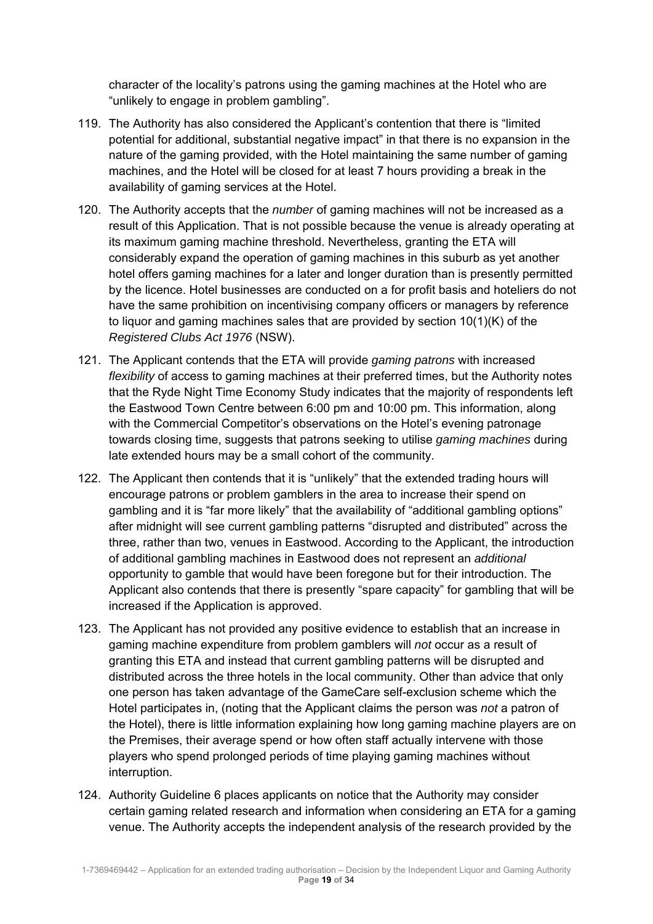character of the locality's patrons using the gaming machines at the Hotel who are "unlikely to engage in problem gambling".

- 119. The Authority has also considered the Applicant's contention that there is "limited potential for additional, substantial negative impact" in that there is no expansion in the nature of the gaming provided, with the Hotel maintaining the same number of gaming machines, and the Hotel will be closed for at least 7 hours providing a break in the availability of gaming services at the Hotel.
- 120. The Authority accepts that the *number* of gaming machines will not be increased as a result of this Application. That is not possible because the venue is already operating at its maximum gaming machine threshold. Nevertheless, granting the ETA will considerably expand the operation of gaming machines in this suburb as yet another hotel offers gaming machines for a later and longer duration than is presently permitted by the licence. Hotel businesses are conducted on a for profit basis and hoteliers do not have the same prohibition on incentivising company officers or managers by reference to liquor and gaming machines sales that are provided by section  $10(1)(K)$  of the *Registered Clubs Act 1976* (NSW).
- 121. The Applicant contends that the ETA will provide *gaming patrons* with increased *flexibility* of access to gaming machines at their preferred times, but the Authority notes that the Ryde Night Time Economy Study indicates that the majority of respondents left the Eastwood Town Centre between 6:00 pm and 10:00 pm. This information, along with the Commercial Competitor's observations on the Hotel's evening patronage towards closing time, suggests that patrons seeking to utilise *gaming machines* during late extended hours may be a small cohort of the community.
- 122. The Applicant then contends that it is "unlikely" that the extended trading hours will encourage patrons or problem gamblers in the area to increase their spend on gambling and it is "far more likely" that the availability of "additional gambling options" after midnight will see current gambling patterns "disrupted and distributed" across the three, rather than two, venues in Eastwood. According to the Applicant, the introduction of additional gambling machines in Eastwood does not represent an *additional*  opportunity to gamble that would have been foregone but for their introduction. The Applicant also contends that there is presently "spare capacity" for gambling that will be increased if the Application is approved.
- 123. The Applicant has not provided any positive evidence to establish that an increase in gaming machine expenditure from problem gamblers will *not* occur as a result of granting this ETA and instead that current gambling patterns will be disrupted and distributed across the three hotels in the local community. Other than advice that only one person has taken advantage of the GameCare self-exclusion scheme which the Hotel participates in, (noting that the Applicant claims the person was *not* a patron of the Hotel), there is little information explaining how long gaming machine players are on the Premises, their average spend or how often staff actually intervene with those players who spend prolonged periods of time playing gaming machines without interruption.
- 124. Authority Guideline 6 places applicants on notice that the Authority may consider certain gaming related research and information when considering an ETA for a gaming venue. The Authority accepts the independent analysis of the research provided by the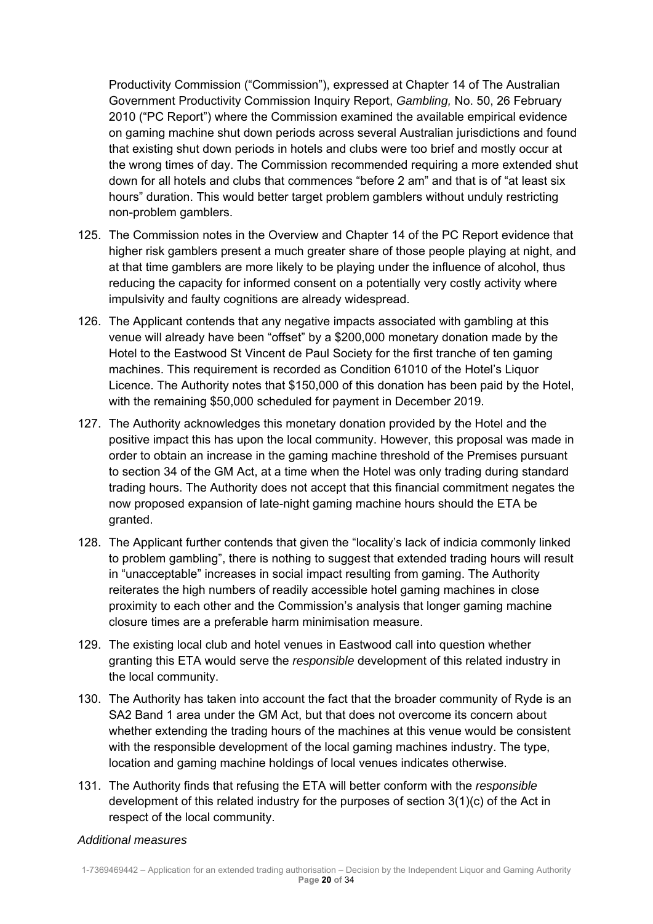Productivity Commission ("Commission"), expressed at Chapter 14 of The Australian Government Productivity Commission Inquiry Report, *Gambling,* No. 50, 26 February 2010 ("PC Report") where the Commission examined the available empirical evidence on gaming machine shut down periods across several Australian jurisdictions and found that existing shut down periods in hotels and clubs were too brief and mostly occur at the wrong times of day. The Commission recommended requiring a more extended shut down for all hotels and clubs that commences "before 2 am" and that is of "at least six hours" duration. This would better target problem gamblers without unduly restricting non-problem gamblers.

- 125. The Commission notes in the Overview and Chapter 14 of the PC Report evidence that higher risk gamblers present a much greater share of those people playing at night, and at that time gamblers are more likely to be playing under the influence of alcohol, thus reducing the capacity for informed consent on a potentially very costly activity where impulsivity and faulty cognitions are already widespread.
- 126. The Applicant contends that any negative impacts associated with gambling at this venue will already have been "offset" by a \$200,000 monetary donation made by the Hotel to the Eastwood St Vincent de Paul Society for the first tranche of ten gaming machines. This requirement is recorded as Condition 61010 of the Hotel's Liquor Licence. The Authority notes that \$150,000 of this donation has been paid by the Hotel, with the remaining \$50,000 scheduled for payment in December 2019.
- 127. The Authority acknowledges this monetary donation provided by the Hotel and the positive impact this has upon the local community. However, this proposal was made in order to obtain an increase in the gaming machine threshold of the Premises pursuant to section 34 of the GM Act, at a time when the Hotel was only trading during standard trading hours. The Authority does not accept that this financial commitment negates the now proposed expansion of late-night gaming machine hours should the ETA be granted.
- 128. The Applicant further contends that given the "locality's lack of indicia commonly linked to problem gambling", there is nothing to suggest that extended trading hours will result in "unacceptable" increases in social impact resulting from gaming. The Authority reiterates the high numbers of readily accessible hotel gaming machines in close proximity to each other and the Commission's analysis that longer gaming machine closure times are a preferable harm minimisation measure.
- 129. The existing local club and hotel venues in Eastwood call into question whether granting this ETA would serve the *responsible* development of this related industry in the local community.
- 130. The Authority has taken into account the fact that the broader community of Ryde is an SA2 Band 1 area under the GM Act, but that does not overcome its concern about whether extending the trading hours of the machines at this venue would be consistent with the responsible development of the local gaming machines industry. The type, location and gaming machine holdings of local venues indicates otherwise.
- 131. The Authority finds that refusing the ETA will better conform with the *responsible* development of this related industry for the purposes of section 3(1)(c) of the Act in respect of the local community.

## *Additional measures*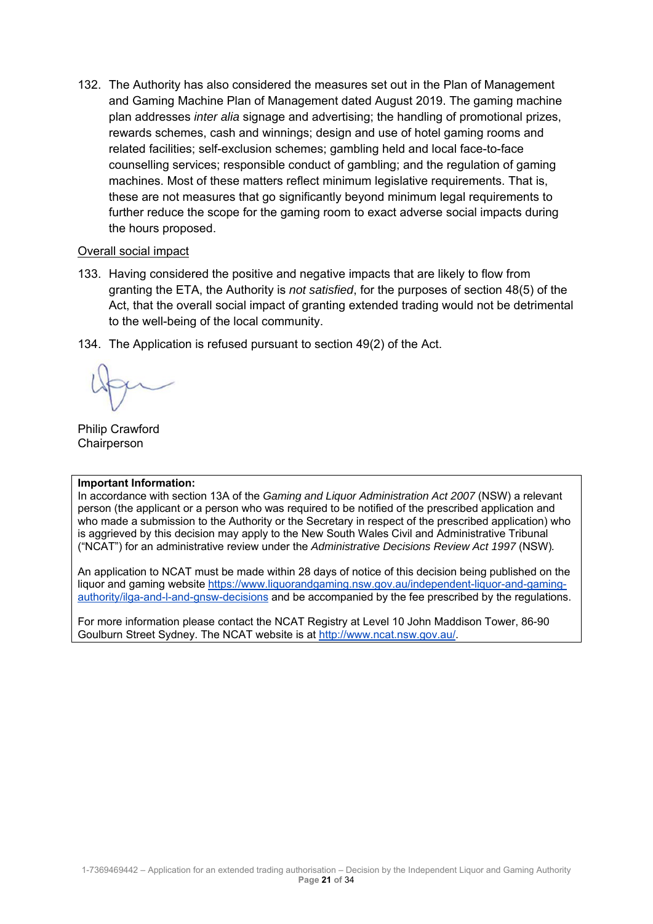132. The Authority has also considered the measures set out in the Plan of Management and Gaming Machine Plan of Management dated August 2019. The gaming machine plan addresses *inter alia* signage and advertising; the handling of promotional prizes, rewards schemes, cash and winnings; design and use of hotel gaming rooms and related facilities; self-exclusion schemes; gambling held and local face-to-face counselling services; responsible conduct of gambling; and the regulation of gaming machines. Most of these matters reflect minimum legislative requirements. That is, these are not measures that go significantly beyond minimum legal requirements to further reduce the scope for the gaming room to exact adverse social impacts during the hours proposed.

#### Overall social impact

- 133. Having considered the positive and negative impacts that are likely to flow from granting the ETA, the Authority is *not satisfied*, for the purposes of section 48(5) of the Act, that the overall social impact of granting extended trading would not be detrimental to the well-being of the local community.
- 134. The Application is refused pursuant to section 49(2) of the Act.

Philip Crawford **Chairperson** 

#### **Important Information:**

In accordance with section 13A of the *Gaming and Liquor Administration Act 2007* (NSW) a relevant person (the applicant or a person who was required to be notified of the prescribed application and who made a submission to the Authority or the Secretary in respect of the prescribed application) who is aggrieved by this decision may apply to the New South Wales Civil and Administrative Tribunal ("NCAT") for an administrative review under the *Administrative Decisions Review Act 1997* (NSW)*.* 

An application to NCAT must be made within 28 days of notice of this decision being published on the liquor and gaming website https://www.liquorandgaming.nsw.gov.au/independent-liquor-and-gamingauthority/ilga-and-l-and-gnsw-decisions and be accompanied by the fee prescribed by the regulations.

For more information please contact the NCAT Registry at Level 10 John Maddison Tower, 86-90 Goulburn Street Sydney. The NCAT website is at http://www.ncat.nsw.gov.au/.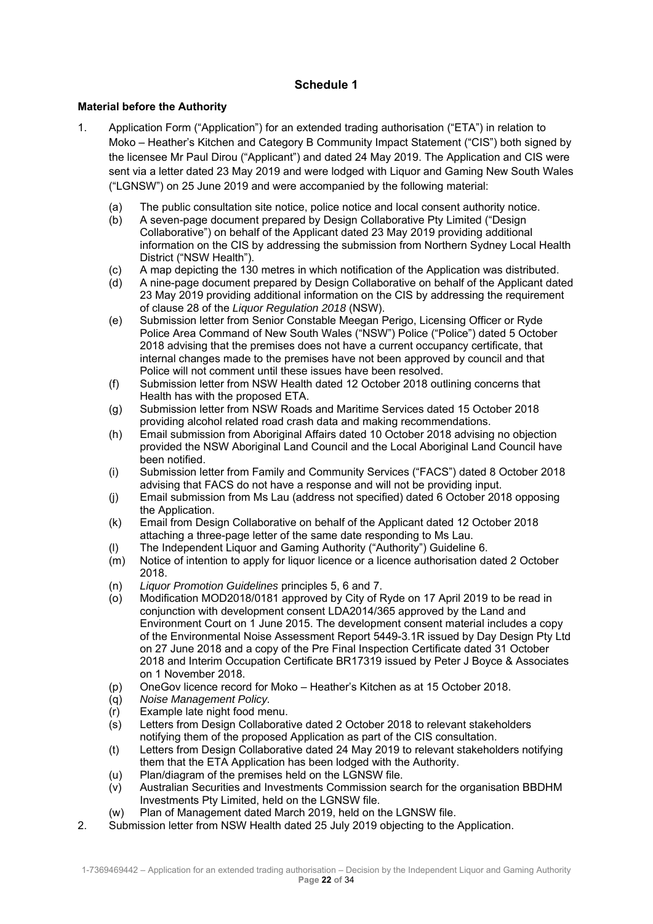# **Schedule 1**

#### **Material before the Authority**

- 1. Application Form ("Application") for an extended trading authorisation ("ETA") in relation to Moko – Heather's Kitchen and Category B Community Impact Statement ("CIS") both signed by the licensee Mr Paul Dirou ("Applicant") and dated 24 May 2019. The Application and CIS were sent via a letter dated 23 May 2019 and were lodged with Liquor and Gaming New South Wales ("LGNSW") on 25 June 2019 and were accompanied by the following material:
	- (a) The public consultation site notice, police notice and local consent authority notice.
	- (b) A seven-page document prepared by Design Collaborative Pty Limited ("Design Collaborative") on behalf of the Applicant dated 23 May 2019 providing additional information on the CIS by addressing the submission from Northern Sydney Local Health District ("NSW Health").
	- (c) A map depicting the 130 metres in which notification of the Application was distributed.
	- (d) A nine-page document prepared by Design Collaborative on behalf of the Applicant dated 23 May 2019 providing additional information on the CIS by addressing the requirement of clause 28 of the *Liquor Regulation 2018* (NSW).
	- (e) Submission letter from Senior Constable Meegan Perigo, Licensing Officer or Ryde Police Area Command of New South Wales ("NSW") Police ("Police") dated 5 October 2018 advising that the premises does not have a current occupancy certificate, that internal changes made to the premises have not been approved by council and that Police will not comment until these issues have been resolved.
	- (f) Submission letter from NSW Health dated 12 October 2018 outlining concerns that Health has with the proposed ETA.
	- (g) Submission letter from NSW Roads and Maritime Services dated 15 October 2018 providing alcohol related road crash data and making recommendations.
	- (h) Email submission from Aboriginal Affairs dated 10 October 2018 advising no objection provided the NSW Aboriginal Land Council and the Local Aboriginal Land Council have been notified.
	- (i) Submission letter from Family and Community Services ("FACS") dated 8 October 2018 advising that FACS do not have a response and will not be providing input.
	- (j) Email submission from Ms Lau (address not specified) dated 6 October 2018 opposing the Application.
	- (k) Email from Design Collaborative on behalf of the Applicant dated 12 October 2018 attaching a three-page letter of the same date responding to Ms Lau.
	- (l) The Independent Liquor and Gaming Authority ("Authority") Guideline 6.
	- (m) Notice of intention to apply for liquor licence or a licence authorisation dated 2 October 2018.
	- (n) *Liquor Promotion Guidelines* principles 5, 6 and 7.
	- (o) Modification MOD2018/0181 approved by City of Ryde on 17 April 2019 to be read in conjunction with development consent LDA2014/365 approved by the Land and Environment Court on 1 June 2015. The development consent material includes a copy of the Environmental Noise Assessment Report 5449-3.1R issued by Day Design Pty Ltd on 27 June 2018 and a copy of the Pre Final Inspection Certificate dated 31 October 2018 and Interim Occupation Certificate BR17319 issued by Peter J Boyce & Associates on 1 November 2018.
	- (p) OneGov licence record for Moko Heather's Kitchen as at 15 October 2018.
	- (q) *Noise Management Policy.*
	- (r) Example late night food menu.
	- (s) Letters from Design Collaborative dated 2 October 2018 to relevant stakeholders notifying them of the proposed Application as part of the CIS consultation.
	- (t) Letters from Design Collaborative dated 24 May 2019 to relevant stakeholders notifying them that the ETA Application has been lodged with the Authority.
	- (u) Plan/diagram of the premises held on the LGNSW file.
	- (v) Australian Securities and Investments Commission search for the organisation BBDHM Investments Pty Limited, held on the LGNSW file.
	- (w) Plan of Management dated March 2019, held on the LGNSW file.
- 2. Submission letter from NSW Health dated 25 July 2019 objecting to the Application.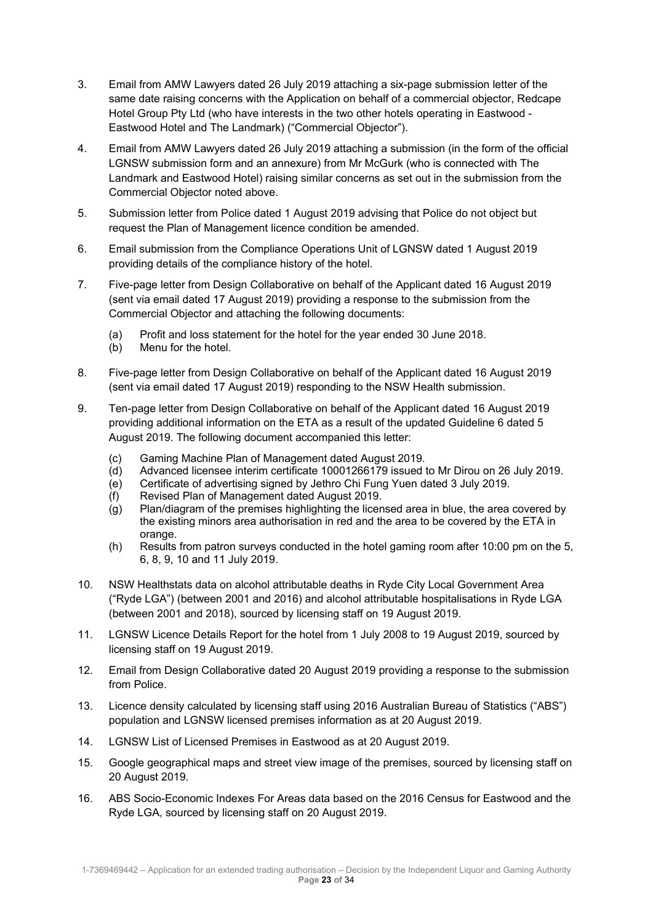- 3. Email from AMW Lawyers dated 26 July 2019 attaching a six-page submission letter of the same date raising concerns with the Application on behalf of a commercial objector, Redcape Hotel Group Pty Ltd (who have interests in the two other hotels operating in Eastwood - Eastwood Hotel and The Landmark) ("Commercial Objector").
- 4. Email from AMW Lawyers dated 26 July 2019 attaching a submission (in the form of the official LGNSW submission form and an annexure) from Mr McGurk (who is connected with The Landmark and Eastwood Hotel) raising similar concerns as set out in the submission from the Commercial Objector noted above.
- 5. Submission letter from Police dated 1 August 2019 advising that Police do not object but request the Plan of Management licence condition be amended.
- 6. Email submission from the Compliance Operations Unit of LGNSW dated 1 August 2019 providing details of the compliance history of the hotel.
- 7. Five-page letter from Design Collaborative on behalf of the Applicant dated 16 August 2019 (sent via email dated 17 August 2019) providing a response to the submission from the Commercial Objector and attaching the following documents:
	- (a) Profit and loss statement for the hotel for the year ended 30 June 2018.
	- (b) Menu for the hotel.
- 8. Five-page letter from Design Collaborative on behalf of the Applicant dated 16 August 2019 (sent via email dated 17 August 2019) responding to the NSW Health submission.
- 9. Ten-page letter from Design Collaborative on behalf of the Applicant dated 16 August 2019 providing additional information on the ETA as a result of the updated Guideline 6 dated 5 August 2019. The following document accompanied this letter:
	- (c) Gaming Machine Plan of Management dated August 2019.
	- (d) Advanced licensee interim certificate 10001266179 issued to Mr Dirou on 26 July 2019.
	- (e) Certificate of advertising signed by Jethro Chi Fung Yuen dated 3 July 2019.
	- (f) Revised Plan of Management dated August 2019.
	- (g) Plan/diagram of the premises highlighting the licensed area in blue, the area covered by the existing minors area authorisation in red and the area to be covered by the ETA in orange.
	- (h) Results from patron surveys conducted in the hotel gaming room after 10:00 pm on the 5, 6, 8, 9, 10 and 11 July 2019.
- 10. NSW Healthstats data on alcohol attributable deaths in Ryde City Local Government Area ("Ryde LGA") (between 2001 and 2016) and alcohol attributable hospitalisations in Ryde LGA (between 2001 and 2018), sourced by licensing staff on 19 August 2019.
- 11. LGNSW Licence Details Report for the hotel from 1 July 2008 to 19 August 2019, sourced by licensing staff on 19 August 2019.
- 12. Email from Design Collaborative dated 20 August 2019 providing a response to the submission from Police.
- 13. Licence density calculated by licensing staff using 2016 Australian Bureau of Statistics ("ABS") population and LGNSW licensed premises information as at 20 August 2019.
- 14. LGNSW List of Licensed Premises in Eastwood as at 20 August 2019.
- 15. Google geographical maps and street view image of the premises, sourced by licensing staff on 20 August 2019.
- 16. ABS Socio-Economic Indexes For Areas data based on the 2016 Census for Eastwood and the Ryde LGA, sourced by licensing staff on 20 August 2019.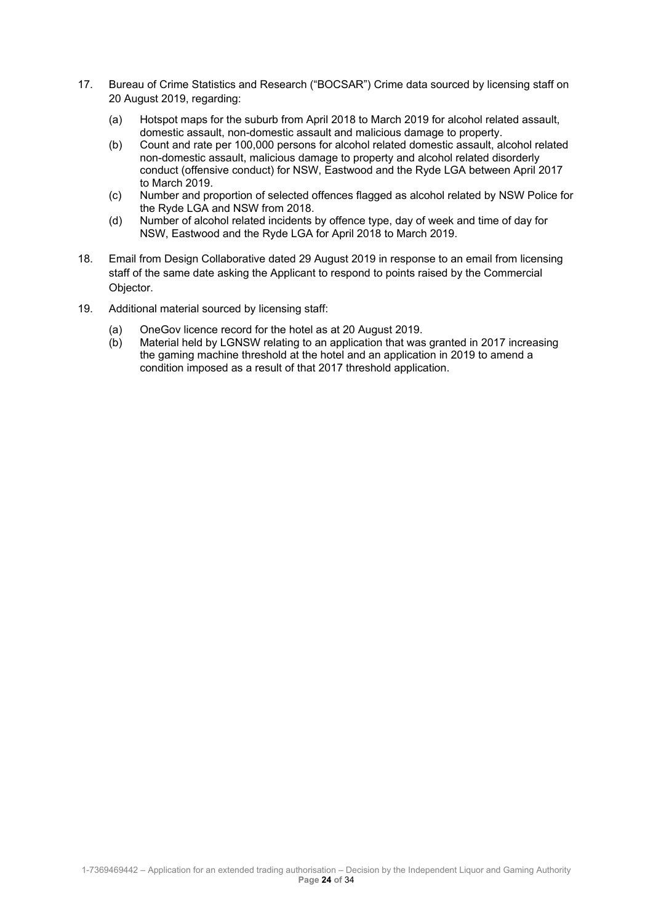- 17. Bureau of Crime Statistics and Research ("BOCSAR") Crime data sourced by licensing staff on 20 August 2019, regarding:
	- (a) Hotspot maps for the suburb from April 2018 to March 2019 for alcohol related assault, domestic assault, non-domestic assault and malicious damage to property.
	- (b) Count and rate per 100,000 persons for alcohol related domestic assault, alcohol related non-domestic assault, malicious damage to property and alcohol related disorderly conduct (offensive conduct) for NSW, Eastwood and the Ryde LGA between April 2017 to March 2019.
	- (c) Number and proportion of selected offences flagged as alcohol related by NSW Police for the Ryde LGA and NSW from 2018.
	- (d) Number of alcohol related incidents by offence type, day of week and time of day for NSW, Eastwood and the Ryde LGA for April 2018 to March 2019.
- 18. Email from Design Collaborative dated 29 August 2019 in response to an email from licensing staff of the same date asking the Applicant to respond to points raised by the Commercial Objector.
- 19. Additional material sourced by licensing staff:
	- (a) OneGov licence record for the hotel as at 20 August 2019.
	- (b) Material held by LGNSW relating to an application that was granted in 2017 increasing the gaming machine threshold at the hotel and an application in 2019 to amend a condition imposed as a result of that 2017 threshold application.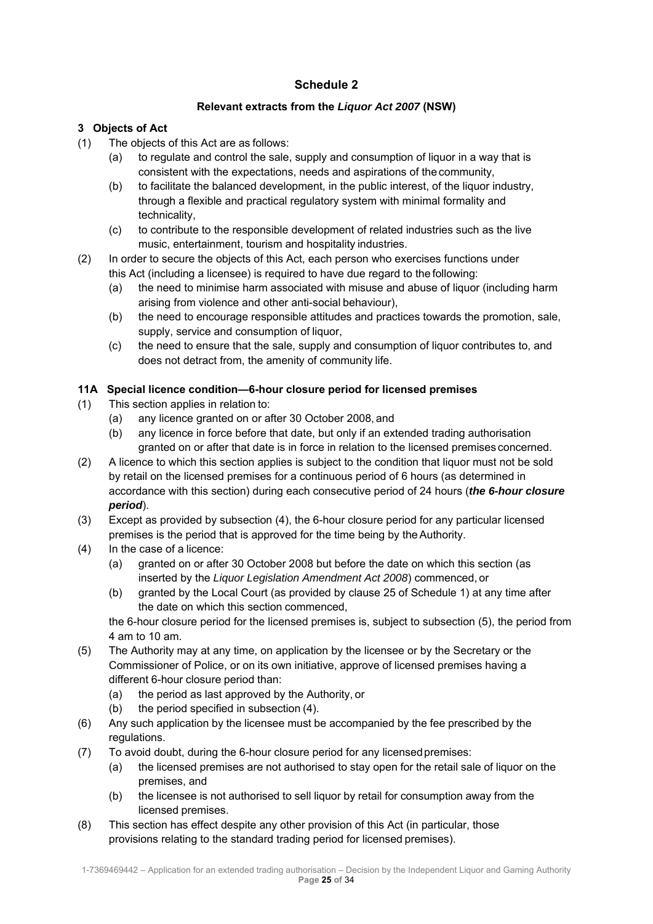# **Schedule 2**

## **Relevant extracts from the** *Liquor Act 2007* **(NSW)**

# **3 Objects of Act**

- (1) The objects of this Act are as follows:
	- (a) to regulate and control the sale, supply and consumption of liquor in a way that is consistent with the expectations, needs and aspirations of the community,
	- (b) to facilitate the balanced development, in the public interest, of the liquor industry, through a flexible and practical regulatory system with minimal formality and technicality,
	- (c) to contribute to the responsible development of related industries such as the live music, entertainment, tourism and hospitality industries.
- (2) In order to secure the objects of this Act, each person who exercises functions under this Act (including a licensee) is required to have due regard to the following:
	- (a) the need to minimise harm associated with misuse and abuse of liquor (including harm arising from violence and other anti-social behaviour),
	- (b) the need to encourage responsible attitudes and practices towards the promotion, sale, supply, service and consumption of liquor.
	- (c) the need to ensure that the sale, supply and consumption of liquor contributes to, and does not detract from, the amenity of community life.

# **11A Special licence condition—6-hour closure period for licensed premises**

- (1) This section applies in relation to:
	- (a) any licence granted on or after 30 October 2008, and
	- (b) any licence in force before that date, but only if an extended trading authorisation granted on or after that date is in force in relation to the licensed premises concerned.
- (2) A licence to which this section applies is subject to the condition that liquor must not be sold by retail on the licensed premises for a continuous period of 6 hours (as determined in accordance with this section) during each consecutive period of 24 hours (*the 6-hour closure period*).
- (3) Except as provided by subsection (4), the 6-hour closure period for any particular licensed premises is the period that is approved for the time being by the Authority.
- (4) In the case of a licence:
	- (a) granted on or after 30 October 2008 but before the date on which this section (as inserted by the *Liquor Legislation Amendment Act 2008*) commenced, or
	- (b) granted by the Local Court (as provided by clause 25 of Schedule 1) at any time after the date on which this section commenced,

the 6-hour closure period for the licensed premises is, subject to subsection (5), the period from 4 am to 10 am.

- (5) The Authority may at any time, on application by the licensee or by the Secretary or the Commissioner of Police, or on its own initiative, approve of licensed premises having a different 6-hour closure period than:
	- (a) the period as last approved by the Authority, or
	- (b) the period specified in subsection (4).
- (6) Any such application by the licensee must be accompanied by the fee prescribed by the regulations.
- (7) To avoid doubt, during the 6-hour closure period for any licensed premises:
	- (a) the licensed premises are not authorised to stay open for the retail sale of liquor on the premises, and
	- (b) the licensee is not authorised to sell liquor by retail for consumption away from the licensed premises.
- (8) This section has effect despite any other provision of this Act (in particular, those provisions relating to the standard trading period for licensed premises).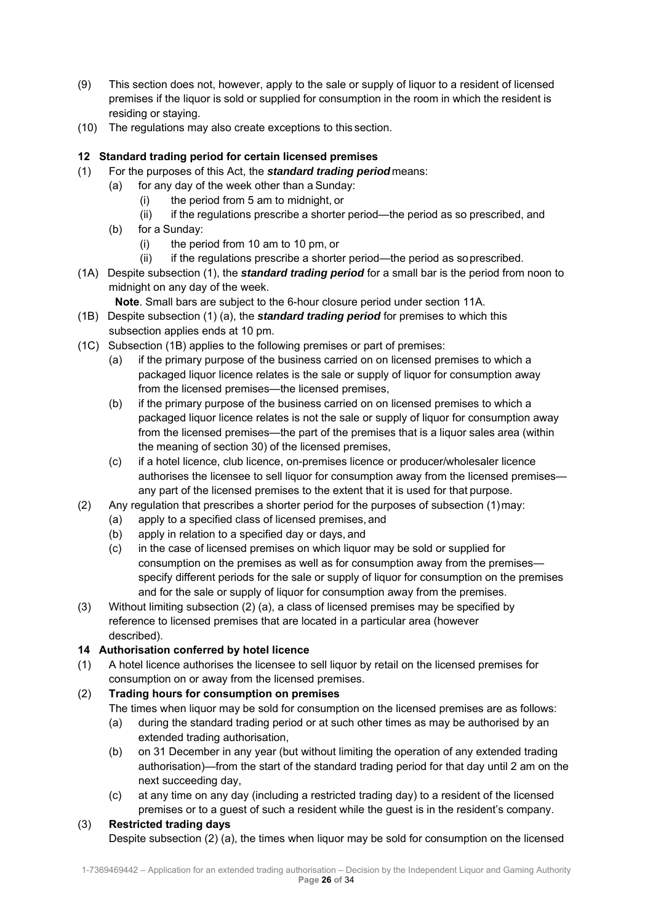- (9) This section does not, however, apply to the sale or supply of liquor to a resident of licensed premises if the liquor is sold or supplied for consumption in the room in which the resident is residing or staying.
- (10) The regulations may also create exceptions to this section.

# **12 Standard trading period for certain licensed premises**

- (1) For the purposes of this Act, the *standard trading period* means:
	- (a) for any day of the week other than a Sunday:
		- (i) the period from 5 am to midnight, or
		- (ii) if the regulations prescribe a shorter period—the period as so prescribed, and
		- (b) for a Sunday:
			- (i) the period from 10 am to 10 pm, or
			- (ii) if the regulations prescribe a shorter period—the period as so prescribed.
- (1A) Despite subsection (1), the *standard trading period* for a small bar is the period from noon to midnight on any day of the week.
	- **Note**. Small bars are subject to the 6-hour closure period under section 11A.
- (1B) Despite subsection (1) (a), the *standard trading period* for premises to which this subsection applies ends at 10 pm.
- (1C) Subsection (1B) applies to the following premises or part of premises:
	- (a) if the primary purpose of the business carried on on licensed premises to which a packaged liquor licence relates is the sale or supply of liquor for consumption away from the licensed premises—the licensed premises,
	- (b) if the primary purpose of the business carried on on licensed premises to which a packaged liquor licence relates is not the sale or supply of liquor for consumption away from the licensed premises—the part of the premises that is a liquor sales area (within the meaning of section 30) of the licensed premises,
	- (c) if a hotel licence, club licence, on-premises licence or producer/wholesaler licence authorises the licensee to sell liquor for consumption away from the licensed premises any part of the licensed premises to the extent that it is used for that purpose.
- (2) Any regulation that prescribes a shorter period for the purposes of subsection (1) may:
	- (a) apply to a specified class of licensed premises, and
	- (b) apply in relation to a specified day or days, and
	- (c) in the case of licensed premises on which liquor may be sold or supplied for consumption on the premises as well as for consumption away from the premises specify different periods for the sale or supply of liquor for consumption on the premises and for the sale or supply of liquor for consumption away from the premises.
- (3) Without limiting subsection (2) (a), a class of licensed premises may be specified by reference to licensed premises that are located in a particular area (however described).

## **14 Authorisation conferred by hotel licence**

(1) A hotel licence authorises the licensee to sell liquor by retail on the licensed premises for consumption on or away from the licensed premises.

## (2) **Trading hours for consumption on premises**

The times when liquor may be sold for consumption on the licensed premises are as follows:

- (a) during the standard trading period or at such other times as may be authorised by an extended trading authorisation,
- (b) on 31 December in any year (but without limiting the operation of any extended trading authorisation)—from the start of the standard trading period for that day until 2 am on the next succeeding day,
- (c) at any time on any day (including a restricted trading day) to a resident of the licensed premises or to a guest of such a resident while the guest is in the resident's company.

## (3) **Restricted trading days**

Despite subsection (2) (a), the times when liquor may be sold for consumption on the licensed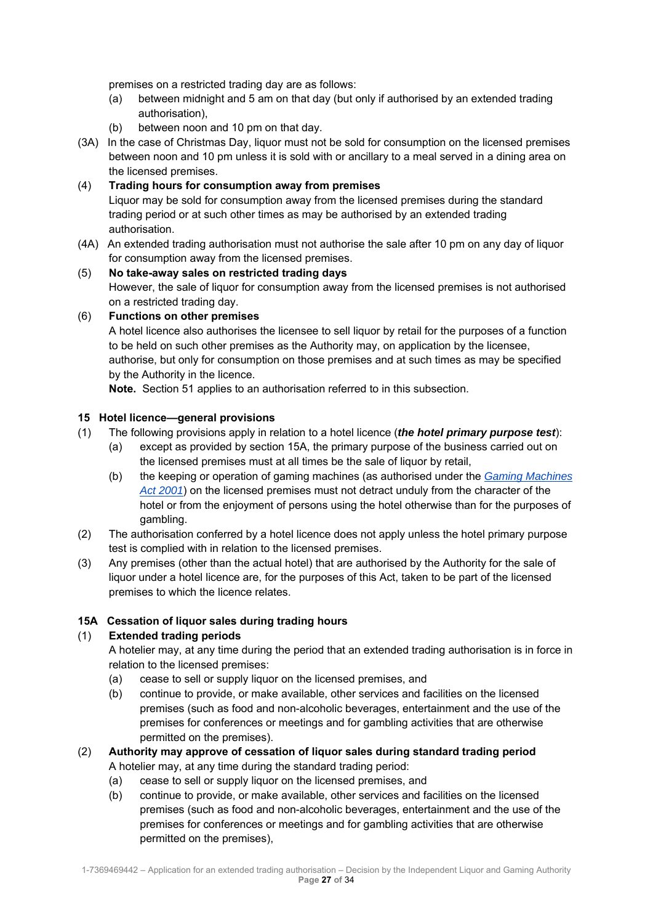premises on a restricted trading day are as follows:

- (a) between midnight and 5 am on that day (but only if authorised by an extended trading authorisation),
- (b) between noon and 10 pm on that day.
- (3A) In the case of Christmas Day, liquor must not be sold for consumption on the licensed premises between noon and 10 pm unless it is sold with or ancillary to a meal served in a dining area on the licensed premises.

## (4) **Trading hours for consumption away from premises**

Liquor may be sold for consumption away from the licensed premises during the standard trading period or at such other times as may be authorised by an extended trading authorisation.

(4A) An extended trading authorisation must not authorise the sale after 10 pm on any day of liquor for consumption away from the licensed premises.

#### (5) **No take-away sales on restricted trading days**

However, the sale of liquor for consumption away from the licensed premises is not authorised on a restricted trading day.

#### (6) **Functions on other premises**

A hotel licence also authorises the licensee to sell liquor by retail for the purposes of a function to be held on such other premises as the Authority may, on application by the licensee, authorise, but only for consumption on those premises and at such times as may be specified by the Authority in the licence.

**Note.** Section 51 applies to an authorisation referred to in this subsection.

#### **15 Hotel licence—general provisions**

- (1) The following provisions apply in relation to a hotel licence (*the hotel primary purpose test*):
	- (a) except as provided by section 15A, the primary purpose of the business carried out on the licensed premises must at all times be the sale of liquor by retail,
	- (b) the keeping or operation of gaming machines (as authorised under the *Gaming Machines Act 2001*) on the licensed premises must not detract unduly from the character of the hotel or from the enjoyment of persons using the hotel otherwise than for the purposes of gambling.
- (2) The authorisation conferred by a hotel licence does not apply unless the hotel primary purpose test is complied with in relation to the licensed premises.
- (3) Any premises (other than the actual hotel) that are authorised by the Authority for the sale of liquor under a hotel licence are, for the purposes of this Act, taken to be part of the licensed premises to which the licence relates.

## **15A Cessation of liquor sales during trading hours**

## (1) **Extended trading periods**

A hotelier may, at any time during the period that an extended trading authorisation is in force in relation to the licensed premises:

- (a) cease to sell or supply liquor on the licensed premises, and
- (b) continue to provide, or make available, other services and facilities on the licensed premises (such as food and non-alcoholic beverages, entertainment and the use of the premises for conferences or meetings and for gambling activities that are otherwise permitted on the premises).

# (2) **Authority may approve of cessation of liquor sales during standard trading period**

- A hotelier may, at any time during the standard trading period:
- (a) cease to sell or supply liquor on the licensed premises, and
- (b) continue to provide, or make available, other services and facilities on the licensed premises (such as food and non-alcoholic beverages, entertainment and the use of the premises for conferences or meetings and for gambling activities that are otherwise permitted on the premises),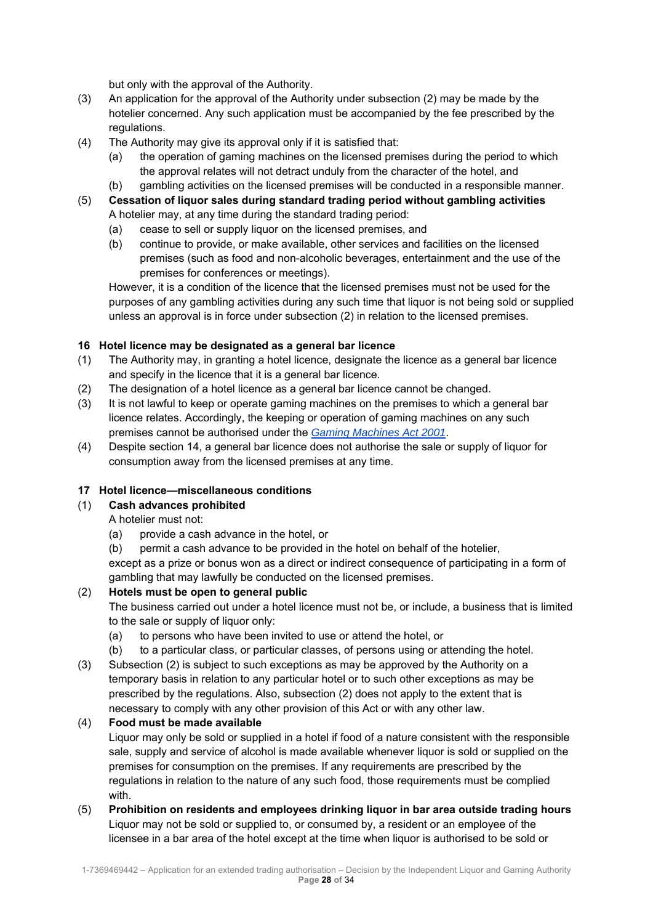but only with the approval of the Authority.

- (3) An application for the approval of the Authority under subsection (2) may be made by the hotelier concerned. Any such application must be accompanied by the fee prescribed by the regulations.
- (4) The Authority may give its approval only if it is satisfied that:
	- (a) the operation of gaming machines on the licensed premises during the period to which the approval relates will not detract unduly from the character of the hotel, and
	- (b) gambling activities on the licensed premises will be conducted in a responsible manner.
- (5) **Cessation of liquor sales during standard trading period without gambling activities** A hotelier may, at any time during the standard trading period:
	- (a) cease to sell or supply liquor on the licensed premises, and
	- (b) continue to provide, or make available, other services and facilities on the licensed premises (such as food and non-alcoholic beverages, entertainment and the use of the premises for conferences or meetings).

However, it is a condition of the licence that the licensed premises must not be used for the purposes of any gambling activities during any such time that liquor is not being sold or supplied unless an approval is in force under subsection (2) in relation to the licensed premises.

#### **16 Hotel licence may be designated as a general bar licence**

- (1) The Authority may, in granting a hotel licence, designate the licence as a general bar licence and specify in the licence that it is a general bar licence.
- (2) The designation of a hotel licence as a general bar licence cannot be changed.
- (3) It is not lawful to keep or operate gaming machines on the premises to which a general bar licence relates. Accordingly, the keeping or operation of gaming machines on any such premises cannot be authorised under the *Gaming Machines Act 2001*.
- (4) Despite section 14, a general bar licence does not authorise the sale or supply of liquor for consumption away from the licensed premises at any time.

#### **17 Hotel licence—miscellaneous conditions**

## (1) **Cash advances prohibited**

A hotelier must not:

- (a) provide a cash advance in the hotel, or
- (b) permit a cash advance to be provided in the hotel on behalf of the hotelier,

except as a prize or bonus won as a direct or indirect consequence of participating in a form of gambling that may lawfully be conducted on the licensed premises.

## (2) **Hotels must be open to general public**

The business carried out under a hotel licence must not be, or include, a business that is limited to the sale or supply of liquor only:

- (a) to persons who have been invited to use or attend the hotel, or
- (b) to a particular class, or particular classes, of persons using or attending the hotel.
- (3) Subsection (2) is subject to such exceptions as may be approved by the Authority on a temporary basis in relation to any particular hotel or to such other exceptions as may be prescribed by the regulations. Also, subsection (2) does not apply to the extent that is necessary to comply with any other provision of this Act or with any other law.

#### (4) **Food must be made available**

Liquor may only be sold or supplied in a hotel if food of a nature consistent with the responsible sale, supply and service of alcohol is made available whenever liquor is sold or supplied on the premises for consumption on the premises. If any requirements are prescribed by the regulations in relation to the nature of any such food, those requirements must be complied with.

(5) **Prohibition on residents and employees drinking liquor in bar area outside trading hours** Liquor may not be sold or supplied to, or consumed by, a resident or an employee of the licensee in a bar area of the hotel except at the time when liquor is authorised to be sold or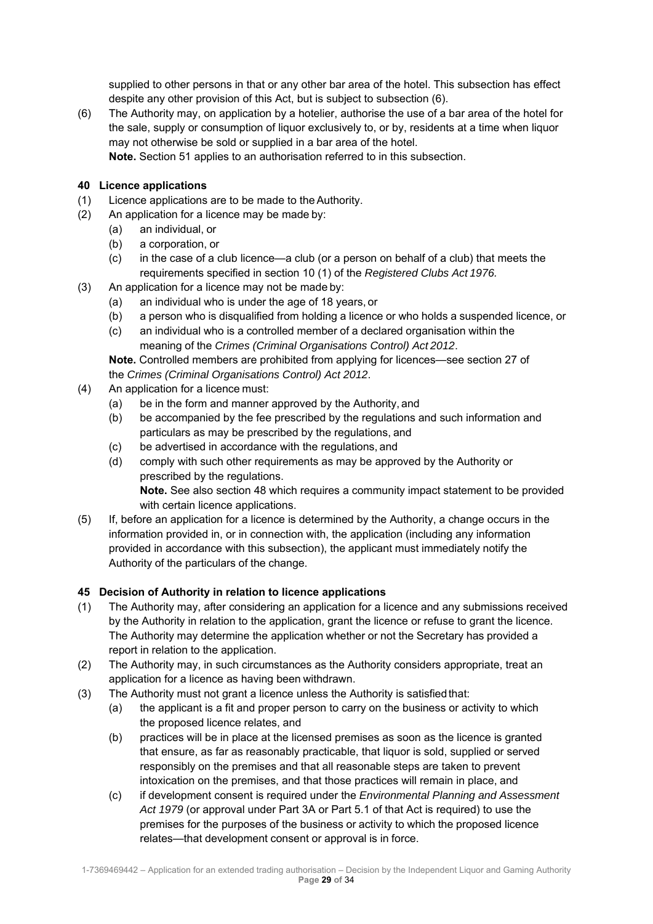supplied to other persons in that or any other bar area of the hotel. This subsection has effect despite any other provision of this Act, but is subject to subsection (6).

(6) The Authority may, on application by a hotelier, authorise the use of a bar area of the hotel for the sale, supply or consumption of liquor exclusively to, or by, residents at a time when liquor may not otherwise be sold or supplied in a bar area of the hotel. **Note.** Section 51 applies to an authorisation referred to in this subsection.

#### **40 Licence applications**

- (1) Licence applications are to be made to the Authority.
- (2) An application for a licence may be made by:
	- (a) an individual, or
	- (b) a corporation, or
	- (c) in the case of a club licence—a club (or a person on behalf of a club) that meets the requirements specified in section 10 (1) of the *Registered Clubs Act 1976.*
- (3) An application for a licence may not be made by:
	- (a) an individual who is under the age of 18 years, or
	- (b) a person who is disqualified from holding a licence or who holds a suspended licence, or
	- (c) an individual who is a controlled member of a declared organisation within the meaning of the *Crimes (Criminal Organisations Control) Act 2012*.

**Note.** Controlled members are prohibited from applying for licences—see section 27 of the *Crimes (Criminal Organisations Control) Act 2012*.

- (4) An application for a licence must:
	- (a) be in the form and manner approved by the Authority, and
	- (b) be accompanied by the fee prescribed by the regulations and such information and particulars as may be prescribed by the regulations, and
	- (c) be advertised in accordance with the regulations, and
	- (d) comply with such other requirements as may be approved by the Authority or prescribed by the regulations.

**Note.** See also section 48 which requires a community impact statement to be provided with certain licence applications.

(5) If, before an application for a licence is determined by the Authority, a change occurs in the information provided in, or in connection with, the application (including any information provided in accordance with this subsection), the applicant must immediately notify the Authority of the particulars of the change.

#### **45 Decision of Authority in relation to licence applications**

- (1) The Authority may, after considering an application for a licence and any submissions received by the Authority in relation to the application, grant the licence or refuse to grant the licence. The Authority may determine the application whether or not the Secretary has provided a report in relation to the application.
- (2) The Authority may, in such circumstances as the Authority considers appropriate, treat an application for a licence as having been withdrawn.
- (3) The Authority must not grant a licence unless the Authority is satisfied that:
	- (a) the applicant is a fit and proper person to carry on the business or activity to which the proposed licence relates, and
	- (b) practices will be in place at the licensed premises as soon as the licence is granted that ensure, as far as reasonably practicable, that liquor is sold, supplied or served responsibly on the premises and that all reasonable steps are taken to prevent intoxication on the premises, and that those practices will remain in place, and
	- (c) if development consent is required under the *Environmental Planning and Assessment Act 1979* (or approval under Part 3A or Part 5.1 of that Act is required) to use the premises for the purposes of the business or activity to which the proposed licence relates—that development consent or approval is in force.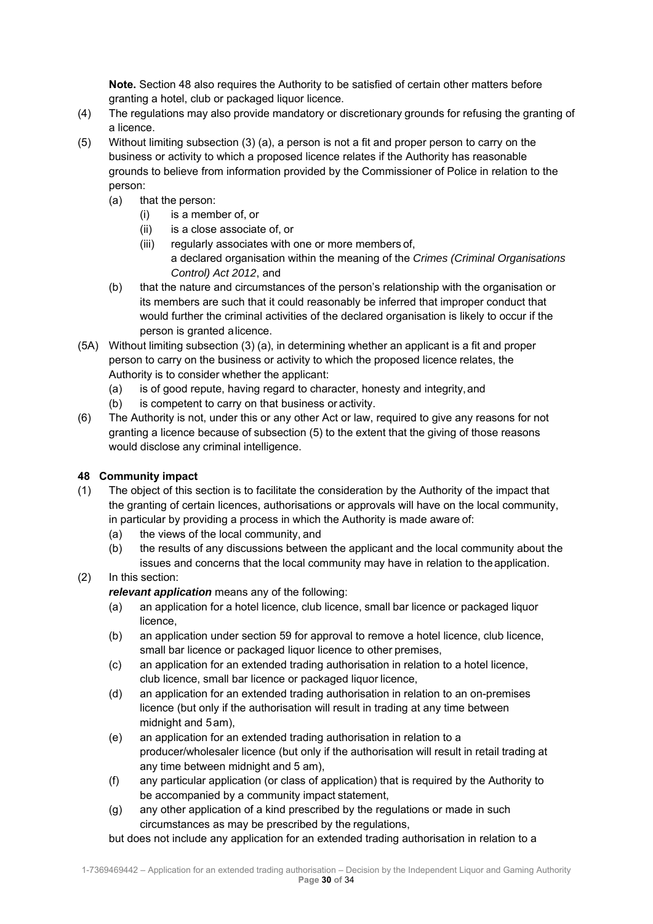**Note.** Section 48 also requires the Authority to be satisfied of certain other matters before granting a hotel, club or packaged liquor licence.

- (4) The regulations may also provide mandatory or discretionary grounds for refusing the granting of a licence.
- (5) Without limiting subsection (3) (a), a person is not a fit and proper person to carry on the business or activity to which a proposed licence relates if the Authority has reasonable grounds to believe from information provided by the Commissioner of Police in relation to the person:
	- (a) that the person:
		- (i) is a member of, or
		- (ii) is a close associate of, or
		- (iii) regularly associates with one or more members of, a declared organisation within the meaning of the *Crimes (Criminal Organisations Control) Act 2012*, and
	- (b) that the nature and circumstances of the person's relationship with the organisation or its members are such that it could reasonably be inferred that improper conduct that would further the criminal activities of the declared organisation is likely to occur if the person is granted a licence.
- (5A) Without limiting subsection (3) (a), in determining whether an applicant is a fit and proper person to carry on the business or activity to which the proposed licence relates, the Authority is to consider whether the applicant:
	- (a) is of good repute, having regard to character, honesty and integrity, and
	- (b) is competent to carry on that business or activity.
- (6) The Authority is not, under this or any other Act or law, required to give any reasons for not granting a licence because of subsection (5) to the extent that the giving of those reasons would disclose any criminal intelligence.

# **48 Community impact**

- (1) The object of this section is to facilitate the consideration by the Authority of the impact that the granting of certain licences, authorisations or approvals will have on the local community, in particular by providing a process in which the Authority is made aware of:
	- (a) the views of the local community, and
	- (b) the results of any discussions between the applicant and the local community about the issues and concerns that the local community may have in relation to the application.

# (2) In this section:

*relevant application* means any of the following:

- (a) an application for a hotel licence, club licence, small bar licence or packaged liquor licence,
- (b) an application under section 59 for approval to remove a hotel licence, club licence, small bar licence or packaged liquor licence to other premises,
- (c) an application for an extended trading authorisation in relation to a hotel licence, club licence, small bar licence or packaged liquor licence,
- (d) an application for an extended trading authorisation in relation to an on-premises licence (but only if the authorisation will result in trading at any time between midnight and 5 am),
- (e) an application for an extended trading authorisation in relation to a producer/wholesaler licence (but only if the authorisation will result in retail trading at any time between midnight and 5 am),
- (f) any particular application (or class of application) that is required by the Authority to be accompanied by a community impact statement,
- (g) any other application of a kind prescribed by the regulations or made in such circumstances as may be prescribed by the regulations,

but does not include any application for an extended trading authorisation in relation to a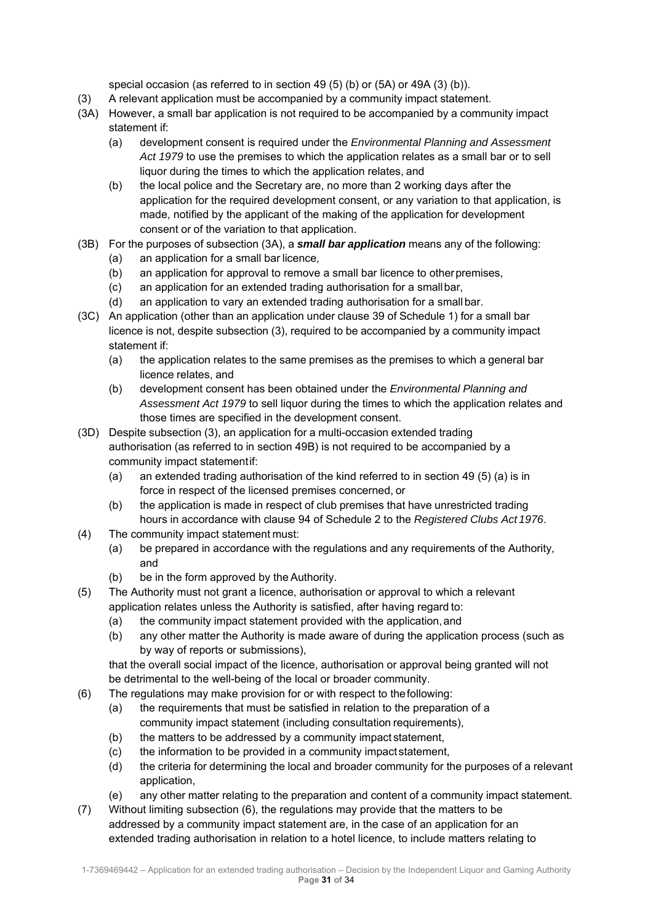special occasion (as referred to in section 49 (5) (b) or (5A) or 49A (3) (b)).

- (3) A relevant application must be accompanied by a community impact statement.
- (3A) However, a small bar application is not required to be accompanied by a community impact statement if:
	- (a) development consent is required under the *Environmental Planning and Assessment Act 1979* to use the premises to which the application relates as a small bar or to sell liquor during the times to which the application relates, and
	- (b) the local police and the Secretary are, no more than 2 working days after the application for the required development consent, or any variation to that application, is made, notified by the applicant of the making of the application for development consent or of the variation to that application.
- (3B) For the purposes of subsection (3A), a *small bar application* means any of the following:
	- (a) an application for a small bar licence,
	- (b) an application for approval to remove a small bar licence to other premises,
	- (c) an application for an extended trading authorisation for a small bar,
	- (d) an application to vary an extended trading authorisation for a small bar.
- (3C) An application (other than an application under clause 39 of Schedule 1) for a small bar licence is not, despite subsection (3), required to be accompanied by a community impact statement if:
	- (a) the application relates to the same premises as the premises to which a general bar licence relates, and
	- (b) development consent has been obtained under the *Environmental Planning and Assessment Act 1979* to sell liquor during the times to which the application relates and those times are specified in the development consent.
- (3D) Despite subsection (3), an application for a multi-occasion extended trading authorisation (as referred to in section 49B) is not required to be accompanied by a community impact statement if:
	- (a) an extended trading authorisation of the kind referred to in section 49 (5) (a) is in force in respect of the licensed premises concerned, or
	- (b) the application is made in respect of club premises that have unrestricted trading hours in accordance with clause 94 of Schedule 2 to the *Registered Clubs Act 1976*.
- (4) The community impact statement must:
	- (a) be prepared in accordance with the regulations and any requirements of the Authority, and
	- (b) be in the form approved by the Authority.
- (5) The Authority must not grant a licence, authorisation or approval to which a relevant application relates unless the Authority is satisfied, after having regard to:
	- (a) the community impact statement provided with the application, and
	- (b) any other matter the Authority is made aware of during the application process (such as by way of reports or submissions),

that the overall social impact of the licence, authorisation or approval being granted will not be detrimental to the well-being of the local or broader community.

- (6) The regulations may make provision for or with respect to the following:
	- (a) the requirements that must be satisfied in relation to the preparation of a community impact statement (including consultation requirements),
	- (b) the matters to be addressed by a community impact statement,
	- (c) the information to be provided in a community impact statement,
	- (d) the criteria for determining the local and broader community for the purposes of a relevant application,
	- (e) any other matter relating to the preparation and content of a community impact statement.
- (7) Without limiting subsection (6), the regulations may provide that the matters to be addressed by a community impact statement are, in the case of an application for an extended trading authorisation in relation to a hotel licence, to include matters relating to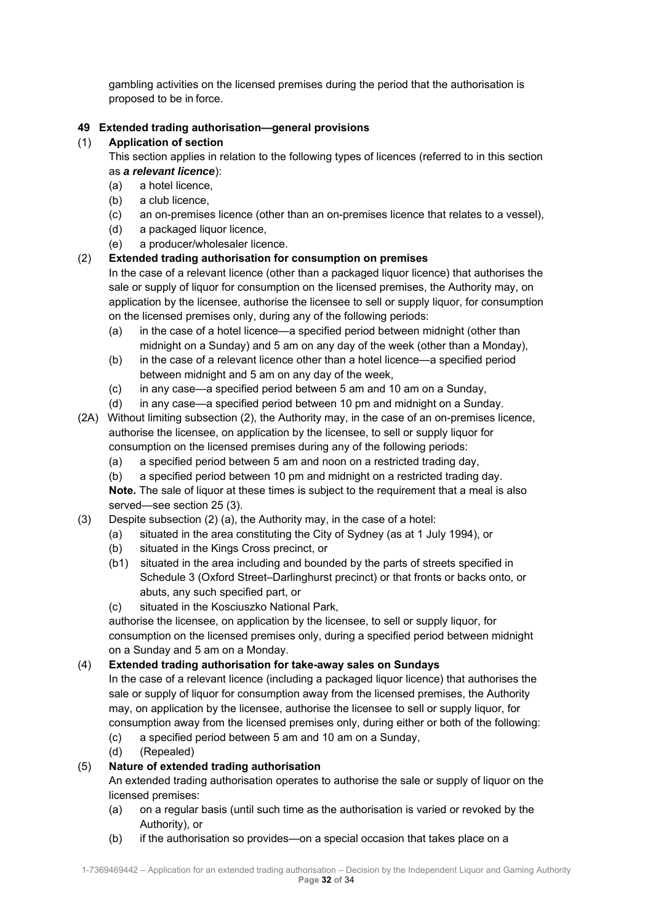gambling activities on the licensed premises during the period that the authorisation is proposed to be in force.

## **49 Extended trading authorisation—general provisions**

## (1) **Application of section**

- This section applies in relation to the following types of licences (referred to in this section as *a relevant licence*):
	- (a) a hotel licence,
	- (b) a club licence,
	- (c) an on-premises licence (other than an on-premises licence that relates to a vessel),
	- (d) a packaged liquor licence,
	- (e) a producer/wholesaler licence.

# (2) **Extended trading authorisation for consumption on premises**

In the case of a relevant licence (other than a packaged liquor licence) that authorises the sale or supply of liquor for consumption on the licensed premises, the Authority may, on application by the licensee, authorise the licensee to sell or supply liquor, for consumption on the licensed premises only, during any of the following periods:

- (a) in the case of a hotel licence—a specified period between midnight (other than midnight on a Sunday) and 5 am on any day of the week (other than a Monday),
- (b) in the case of a relevant licence other than a hotel licence—a specified period between midnight and 5 am on any day of the week,
- (c) in any case—a specified period between 5 am and 10 am on a Sunday,
- (d) in any case—a specified period between 10 pm and midnight on a Sunday.
- (2A) Without limiting subsection (2), the Authority may, in the case of an on-premises licence, authorise the licensee, on application by the licensee, to sell or supply liquor for consumption on the licensed premises during any of the following periods:
	- (a) a specified period between 5 am and noon on a restricted trading day,
	- (b) a specified period between 10 pm and midnight on a restricted trading day. **Note.** The sale of liquor at these times is subject to the requirement that a meal is also served—see section 25 (3).
- (3) Despite subsection (2) (a), the Authority may, in the case of a hotel:
	- (a) situated in the area constituting the City of Sydney (as at 1 July 1994), or
	- (b) situated in the Kings Cross precinct, or
	- (b1) situated in the area including and bounded by the parts of streets specified in Schedule 3 (Oxford Street–Darlinghurst precinct) or that fronts or backs onto, or abuts, any such specified part, or
	- (c) situated in the Kosciuszko National Park,

authorise the licensee, on application by the licensee, to sell or supply liquor, for consumption on the licensed premises only, during a specified period between midnight on a Sunday and 5 am on a Monday.

## (4) **Extended trading authorisation for take-away sales on Sundays**

In the case of a relevant licence (including a packaged liquor licence) that authorises the sale or supply of liquor for consumption away from the licensed premises, the Authority may, on application by the licensee, authorise the licensee to sell or supply liquor, for consumption away from the licensed premises only, during either or both of the following:

- (c) a specified period between 5 am and 10 am on a Sunday,
- (d) (Repealed)

# (5) **Nature of extended trading authorisation**

An extended trading authorisation operates to authorise the sale or supply of liquor on the licensed premises:

- (a) on a regular basis (until such time as the authorisation is varied or revoked by the Authority), or
- (b) if the authorisation so provides—on a special occasion that takes place on a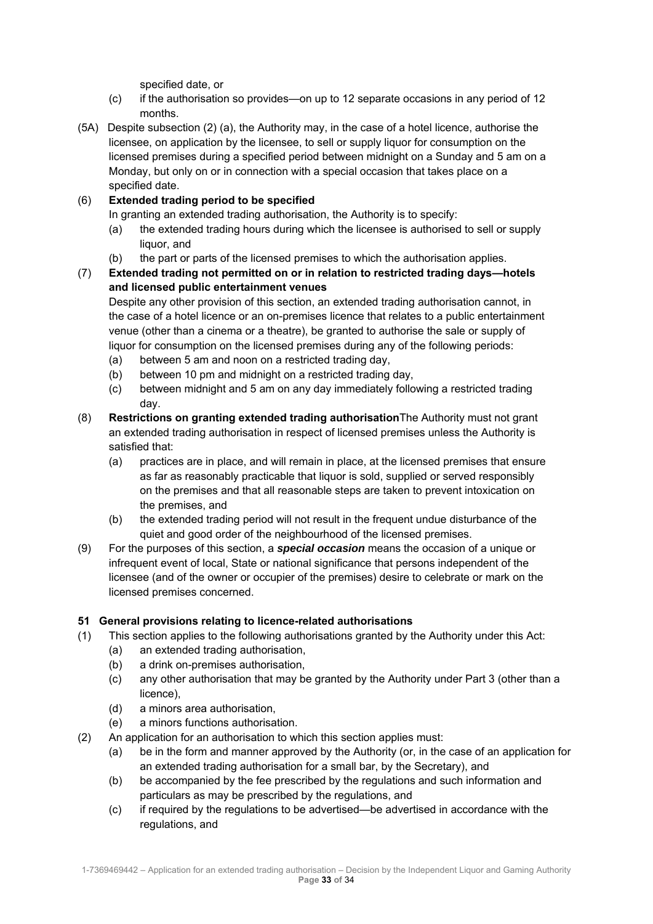specified date, or

- (c) if the authorisation so provides—on up to 12 separate occasions in any period of 12 months.
- (5A) Despite subsection (2) (a), the Authority may, in the case of a hotel licence, authorise the licensee, on application by the licensee, to sell or supply liquor for consumption on the licensed premises during a specified period between midnight on a Sunday and 5 am on a Monday, but only on or in connection with a special occasion that takes place on a specified date.

# (6) **Extended trading period to be specified**

In granting an extended trading authorisation, the Authority is to specify:

- (a) the extended trading hours during which the licensee is authorised to sell or supply liquor, and
- (b) the part or parts of the licensed premises to which the authorisation applies.
- (7) **Extended trading not permitted on or in relation to restricted trading days—hotels and licensed public entertainment venues**

Despite any other provision of this section, an extended trading authorisation cannot, in the case of a hotel licence or an on-premises licence that relates to a public entertainment venue (other than a cinema or a theatre), be granted to authorise the sale or supply of liquor for consumption on the licensed premises during any of the following periods:

- (a) between 5 am and noon on a restricted trading day,
- (b) between 10 pm and midnight on a restricted trading day,
- (c) between midnight and 5 am on any day immediately following a restricted trading day.
- (8) **Restrictions on granting extended trading authorisation**The Authority must not grant an extended trading authorisation in respect of licensed premises unless the Authority is satisfied that:
	- (a) practices are in place, and will remain in place, at the licensed premises that ensure as far as reasonably practicable that liquor is sold, supplied or served responsibly on the premises and that all reasonable steps are taken to prevent intoxication on the premises, and
	- (b) the extended trading period will not result in the frequent undue disturbance of the quiet and good order of the neighbourhood of the licensed premises.
- (9) For the purposes of this section, a *special occasion* means the occasion of a unique or infrequent event of local, State or national significance that persons independent of the licensee (and of the owner or occupier of the premises) desire to celebrate or mark on the licensed premises concerned.

## **51 General provisions relating to licence-related authorisations**

- (1) This section applies to the following authorisations granted by the Authority under this Act:
	- (a) an extended trading authorisation,
	- (b) a drink on-premises authorisation,
	- (c) any other authorisation that may be granted by the Authority under Part 3 (other than a licence),
	- (d) a minors area authorisation,
	- (e) a minors functions authorisation.
- (2) An application for an authorisation to which this section applies must:
	- (a) be in the form and manner approved by the Authority (or, in the case of an application for an extended trading authorisation for a small bar, by the Secretary), and
	- (b) be accompanied by the fee prescribed by the regulations and such information and particulars as may be prescribed by the regulations, and
	- (c) if required by the regulations to be advertised—be advertised in accordance with the regulations, and